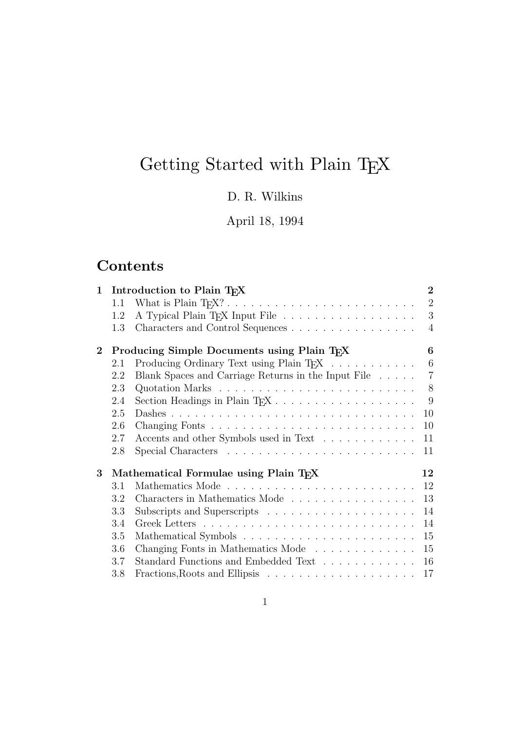# Getting Started with Plain T<sub>E</sub>X

### D. R. Wilkins

### April 18, 1994

# **Contents**

| $\mathbf{1}$ |     | Introduction to Plain T <sub>F</sub> X                  | $\overline{2}$  |
|--------------|-----|---------------------------------------------------------|-----------------|
|              | 1.1 |                                                         | $\overline{2}$  |
|              | 1.2 | A Typical Plain T <sub>F</sub> X Input File             | 3               |
|              | 1.3 | Characters and Control Sequences                        | $\overline{4}$  |
| $\bf{2}$     |     | Producing Simple Documents using Plain T <sub>F</sub> X | 6               |
|              | 2.1 | Producing Ordinary Text using Plain TFX                 | $6\phantom{.}6$ |
|              | 2.2 | Blank Spaces and Carriage Returns in the Input File     | $\overline{7}$  |
|              | 2.3 |                                                         | 8               |
|              | 2.4 |                                                         | 9               |
|              | 2.5 |                                                         | 10              |
|              | 2.6 |                                                         | 10              |
|              | 2.7 | Accents and other Symbols used in Text                  | 11              |
|              | 2.8 |                                                         | 11              |
| $\bf{3}$     |     | Mathematical Formulae using Plain TEX                   | 12              |
|              | 3.1 |                                                         | 12              |
|              | 3.2 | Characters in Mathematics Mode                          | 13              |
|              | 3.3 |                                                         | 14              |
|              | 3.4 |                                                         | 14              |
|              | 3.5 |                                                         | 15              |
|              | 3.6 | Changing Fonts in Mathematics Mode                      | 15              |
|              | 3.7 | Standard Functions and Embedded Text                    | 16              |
|              | 3.8 |                                                         | 17              |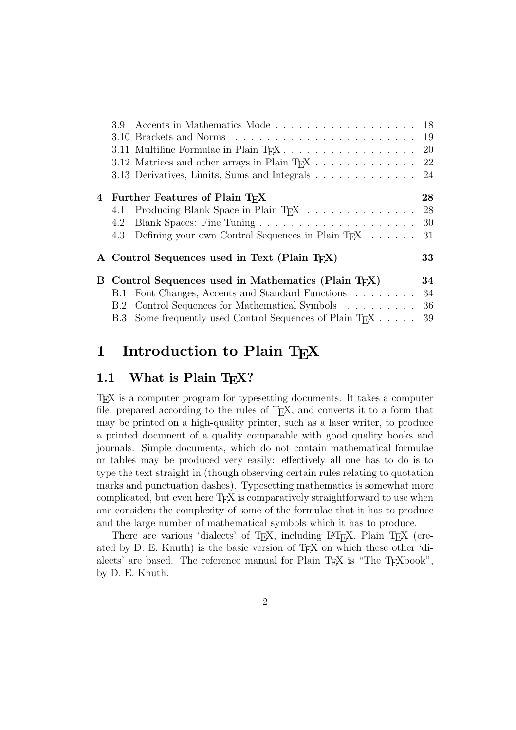|     | 3.9 Accents in Mathematics Mode 18 |                                                                                                                                                                                                                                                                                                                                                                                                                                                                                                                                                                            |
|-----|------------------------------------|----------------------------------------------------------------------------------------------------------------------------------------------------------------------------------------------------------------------------------------------------------------------------------------------------------------------------------------------------------------------------------------------------------------------------------------------------------------------------------------------------------------------------------------------------------------------------|
|     |                                    |                                                                                                                                                                                                                                                                                                                                                                                                                                                                                                                                                                            |
|     |                                    |                                                                                                                                                                                                                                                                                                                                                                                                                                                                                                                                                                            |
|     |                                    |                                                                                                                                                                                                                                                                                                                                                                                                                                                                                                                                                                            |
|     |                                    |                                                                                                                                                                                                                                                                                                                                                                                                                                                                                                                                                                            |
|     |                                    | 28                                                                                                                                                                                                                                                                                                                                                                                                                                                                                                                                                                         |
| 4.1 |                                    |                                                                                                                                                                                                                                                                                                                                                                                                                                                                                                                                                                            |
| 4.2 |                                    |                                                                                                                                                                                                                                                                                                                                                                                                                                                                                                                                                                            |
| 4.3 |                                    | 31                                                                                                                                                                                                                                                                                                                                                                                                                                                                                                                                                                         |
|     |                                    | 33                                                                                                                                                                                                                                                                                                                                                                                                                                                                                                                                                                         |
|     |                                    | 34                                                                                                                                                                                                                                                                                                                                                                                                                                                                                                                                                                         |
|     |                                    | 34                                                                                                                                                                                                                                                                                                                                                                                                                                                                                                                                                                         |
|     |                                    | 36                                                                                                                                                                                                                                                                                                                                                                                                                                                                                                                                                                         |
|     |                                    | 39                                                                                                                                                                                                                                                                                                                                                                                                                                                                                                                                                                         |
|     |                                    | 3.12 Matrices and other arrays in Plain T <sub>F</sub> X 22<br>3.13 Derivatives, Limits, Sums and Integrals 24<br>4 Further Features of Plain TFX<br>Producing Blank Space in Plain TFX 28<br>Defining your own Control Sequences in Plain T <sub>F</sub> X<br>A Control Sequences used in Text (Plain T <sub>F</sub> X)<br>B Control Sequences used in Mathematics (Plain T <sub>F</sub> X)<br>B.1 Font Changes, Accents and Standard Functions<br>B.2 Control Sequences for Mathematical Symbols<br>B.3 Some frequently used Control Sequences of Plain T <sub>F</sub> X |

### **1 Introduction to Plain TEX**

#### 1.1 What is Plain T<sub>F</sub>X?

TEX is a computer program for typesetting documents. It takes a computer file, prepared according to the rules of TEX, and converts it to a form that may be printed on a high-quality printer, such as a laser writer, to produce a printed document of a quality comparable with good quality books and journals. Simple documents, which do not contain mathematical formulae or tables may be produced very easily: effectively all one has to do is to type the text straight in (though observing certain rules relating to quotation marks and punctuation dashes). Typesetting mathematics is somewhat more complicated, but even here T<sub>EX</sub> is comparatively straightforward to use when one considers the complexity of some of the formulae that it has to produce and the large number of mathematical symbols which it has to produce.

There are various 'dialects' of T<sub>E</sub>X, including LAT<sub>E</sub>X. Plain T<sub>E</sub>X (created by D. E. Knuth) is the basic version of T<sub>E</sub>X on which these other 'dialects' are based. The reference manual for Plain T<sub>E</sub>X is "The T<sub>E</sub>Xbook", by D. E. Knuth.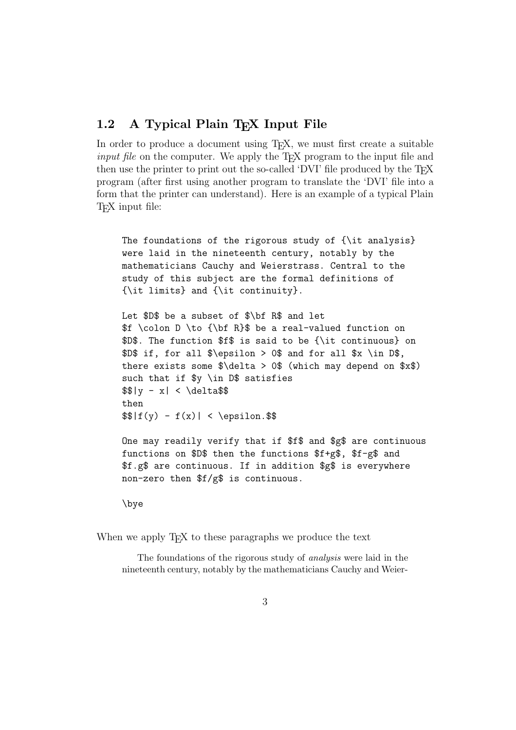#### **1.2** A Typical Plain T<sub>E</sub>X Input File

In order to produce a document using T<sub>E</sub>X, we must first create a suitable input file on the computer. We apply the T<sub>EX</sub> program to the input file and then use the printer to print out the so-called 'DVI' file produced by the T<sub>E</sub>X program (after first using another program to translate the 'DVI' file into a form that the printer can understand). Here is an example of a typical Plain T<sub>F</sub>X input file:

The foundations of the rigorous study of {\it analysis} were laid in the nineteenth century, notably by the mathematicians Cauchy and Weierstrass. Central to the study of this subject are the formal definitions of {\it limits} and {\it continuity}.

Let \$D\$ be a subset of \$\bf R\$ and let \$f \colon D \to {\bf R}\$ be a real-valued function on \$D\$. The function \$f\$ is said to be {\it continuous} on \$D\$ if, for all \$\epsilon > 0\$ and for all \$x \in D\$, there exists some  $\delta \delta > 0$  (which may depend on  $x\$ ) such that if \$y \in D\$ satisfies  $$|y - x| < \delta$ then  $\frac{f(y) - f(x)}{2}$  < \epsilon. \$\$

One may readily verify that if \$f\$ and \$g\$ are continuous functions on \$D\$ then the functions \$f+g\$, \$f-g\$ and \$f.g\$ are continuous. If in addition \$g\$ is everywhere non-zero then \$f/g\$ is continuous.

```
\bye
```
When we apply T<sub>E</sub>X to these paragraphs we produce the text

The foundations of the rigorous study of analysis were laid in the nineteenth century, notably by the mathematicians Cauchy and Weier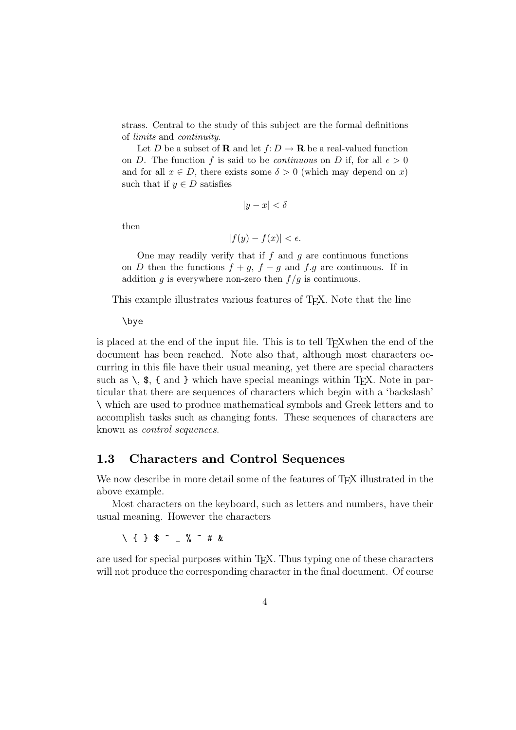strass. Central to the study of this subject are the formal definitions of limits and continuity.

Let D be a subset of **R** and let  $f: D \to \mathbf{R}$  be a real-valued function on D. The function f is said to be *continuous* on D if, for all  $\epsilon > 0$ and for all  $x \in D$ , there exists some  $\delta > 0$  (which may depend on x) such that if  $y \in D$  satisfies

$$
|y - x| < \delta
$$

then

$$
|f(y) - f(x)| < \epsilon.
$$

One may readily verify that if  $f$  and  $g$  are continuous functions on D then the functions  $f + g$ ,  $f - g$  and  $f.g$  are continuous. If in addition g is everywhere non-zero then  $f/g$  is continuous.

This example illustrates various features of TEX. Note that the line

\bye

is placed at the end of the input file. This is to tell T<sub>E</sub>Xwhen the end of the document has been reached. Note also that, although most characters occurring in this file have their usual meaning, yet there are special characters such as  $\setminus$ ,  $\$ ,  $\{$  and  $\}$  which have special meanings within T<sub>E</sub>X. Note in particular that there are sequences of characters which begin with a 'backslash' \ which are used to produce mathematical symbols and Greek letters and to accomplish tasks such as changing fonts. These sequences of characters are known as control sequences.

#### **1.3 Characters and Control Sequences**

We now describe in more detail some of the features of T<sub>E</sub>X illustrated in the above example.

Most characters on the keyboard, such as letters and numbers, have their usual meaning. However the characters

\{}\$^\_%~#&

are used for special purposes within T<sub>E</sub>X. Thus typing one of these characters will not produce the corresponding character in the final document. Of course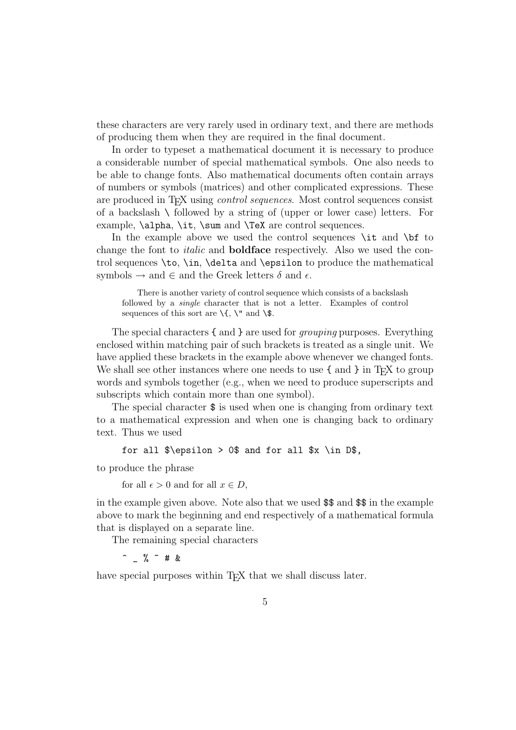these characters are very rarely used in ordinary text, and there are methods of producing them when they are required in the final document.

In order to typeset a mathematical document it is necessary to produce a considerable number of special mathematical symbols. One also needs to be able to change fonts. Also mathematical documents often contain arrays of numbers or symbols (matrices) and other complicated expressions. These are produced in T<sub>EX</sub> using *control sequences*. Most control sequences consist of a backslash  $\setminus$  followed by a string of (upper or lower case) letters. For example, \alpha, \it, \sum and \TeX are control sequences.

In the example above we used the control sequences  $\iota$  to to change the font to italic and **boldface** respectively. Also we used the control sequences \to, \in, \delta and \epsilon to produce the mathematical symbols  $\rightarrow$  and  $\in$  and the Greek letters  $\delta$  and  $\epsilon$ .

There is another variety of control sequence which consists of a backslash followed by a single character that is not a letter. Examples of control sequences of this sort are  $\setminus \{, \setminus \mathfrak{m} \}$  and  $\setminus$  \$.

The special characters  $\{$  and  $\}$  are used for *grouping* purposes. Everything enclosed within matching pair of such brackets is treated as a single unit. We have applied these brackets in the example above whenever we changed fonts. We shall see other instances where one needs to use  $\{$  and  $\}$  in T<sub>E</sub>X to group words and symbols together (e.g., when we need to produce superscripts and subscripts which contain more than one symbol).

The special character \$ is used when one is changing from ordinary text to a mathematical expression and when one is changing back to ordinary text. Thus we used

```
for all \epsilon > 0 and for all x \in D$,
```
to produce the phrase

```
for all \epsilon > 0 and for all x \in D,
```
in the example given above. Note also that we used \$\$ and \$\$ in the example above to mark the beginning and end respectively of a mathematical formula that is displayed on a separate line.

The remaining special characters

 $\hat{ }$  %  $\tilde{ }$  # &

have special purposes within T<sub>EX</sub> that we shall discuss later.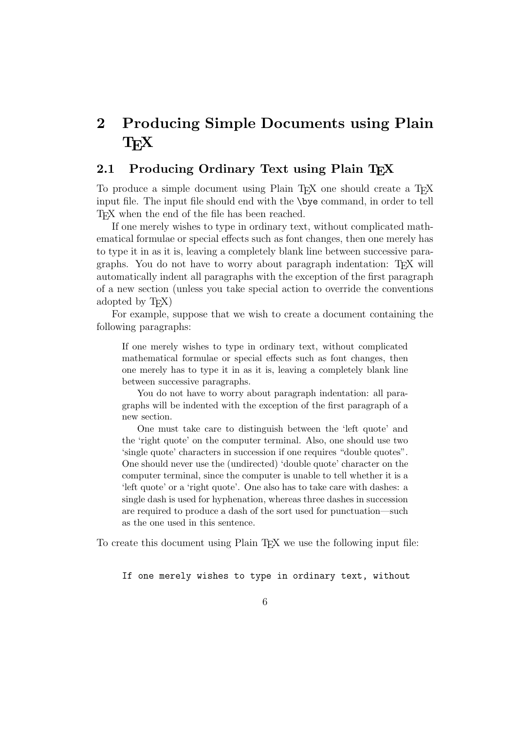## **2 Producing Simple Documents using Plain**  $T_{F}X$

#### 2.1 Producing Ordinary Text using Plain T<sub>E</sub>X

To produce a simple document using Plain T<sub>EX</sub> one should create a T<sub>EX</sub> input file. The input file should end with the \bye command, in order to tell T<sub>EX</sub> when the end of the file has been reached.

If one merely wishes to type in ordinary text, without complicated mathematical formulae or special effects such as font changes, then one merely has to type it in as it is, leaving a completely blank line between successive paragraphs. You do not have to worry about paragraph indentation: TEX will automatically indent all paragraphs with the exception of the first paragraph of a new section (unless you take special action to override the conventions adopted by TEX)

For example, suppose that we wish to create a document containing the following paragraphs:

If one merely wishes to type in ordinary text, without complicated mathematical formulae or special effects such as font changes, then one merely has to type it in as it is, leaving a completely blank line between successive paragraphs.

You do not have to worry about paragraph indentation: all paragraphs will be indented with the exception of the first paragraph of a new section.

One must take care to distinguish between the 'left quote' and the 'right quote' on the computer terminal. Also, one should use two 'single quote' characters in succession if one requires "double quotes". One should never use the (undirected) 'double quote' character on the computer terminal, since the computer is unable to tell whether it is a 'left quote' or a 'right quote'. One also has to take care with dashes: a single dash is used for hyphenation, whereas three dashes in succession are required to produce a dash of the sort used for punctuation—such as the one used in this sentence.

To create this document using Plain T<sub>E</sub>X we use the following input file:

If one merely wishes to type in ordinary text, without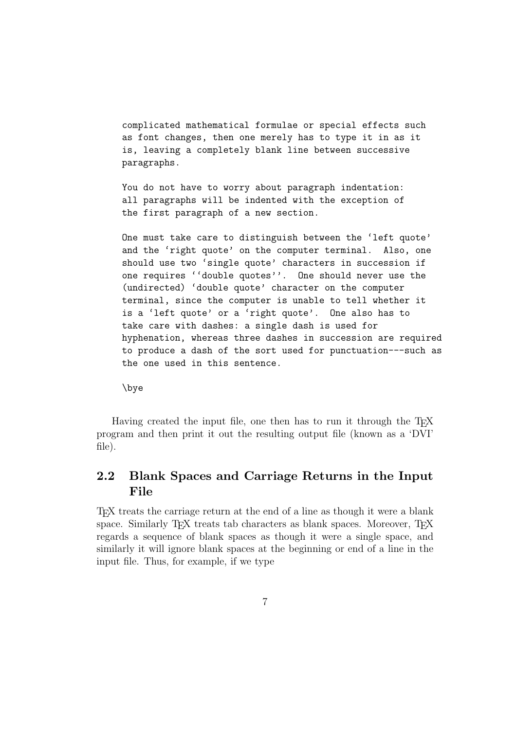complicated mathematical formulae or special effects such as font changes, then one merely has to type it in as it is, leaving a completely blank line between successive paragraphs.

You do not have to worry about paragraph indentation: all paragraphs will be indented with the exception of the first paragraph of a new section.

One must take care to distinguish between the 'left quote' and the 'right quote' on the computer terminal. Also, one should use two 'single quote' characters in succession if one requires ''double quotes''. One should never use the (undirected) 'double quote' character on the computer terminal, since the computer is unable to tell whether it is a 'left quote' or a 'right quote'. One also has to take care with dashes: a single dash is used for hyphenation, whereas three dashes in succession are required to produce a dash of the sort used for punctuation---such as the one used in this sentence.

\bye

Having created the input file, one then has to run it through the T<sub>E</sub>X program and then print it out the resulting output file (known as a 'DVI' file).

### **2.2 Blank Spaces and Carriage Returns in the Input File**

TEX treats the carriage return at the end of a line as though it were a blank space. Similarly T<sub>EX</sub> treats tab characters as blank spaces. Moreover, T<sub>EX</sub> regards a sequence of blank spaces as though it were a single space, and similarly it will ignore blank spaces at the beginning or end of a line in the input file. Thus, for example, if we type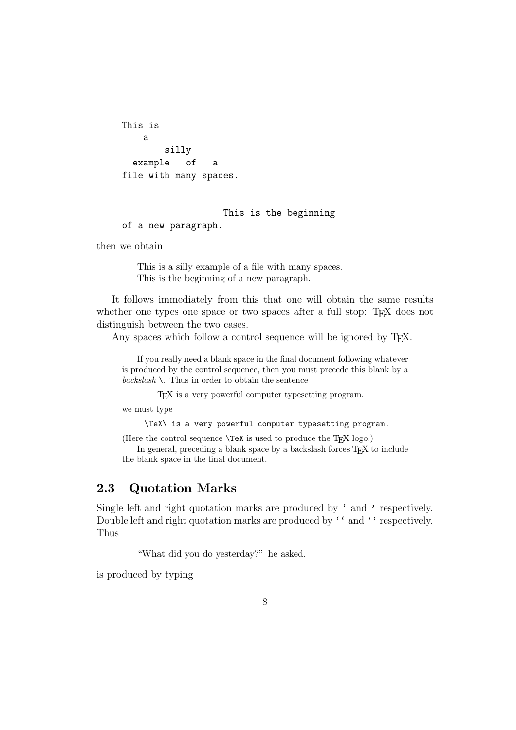```
This is
   a
       silly
  example of a
file with many spaces.
```
#### This is the beginning

of a new paragraph.

then we obtain

This is a silly example of a file with many spaces. This is the beginning of a new paragraph.

It follows immediately from this that one will obtain the same results whether one types one space or two spaces after a full stop: T<sub>EX</sub> does not distinguish between the two cases.

Any spaces which follow a control sequence will be ignored by T<sub>E</sub>X.

If you really need a blank space in the final document following whatever is produced by the control sequence, then you must precede this blank by a  $backslash \$ . Thus in order to obtain the sentence

TEX is a very powerful computer typesetting program.

we must type

\TeX\ is a very powerful computer typesetting program.

(Here the control sequence  $\text{TeX}$  is used to produce the T<sub>E</sub>X logo.)

In general, preceding a blank space by a backslash forces TEX to include the blank space in the final document.

#### **2.3 Quotation Marks**

Single left and right quotation marks are produced by ' and ' respectively. Double left and right quotation marks are produced by '' and '' respectively. Thus

"What did you do yesterday?" he asked.

is produced by typing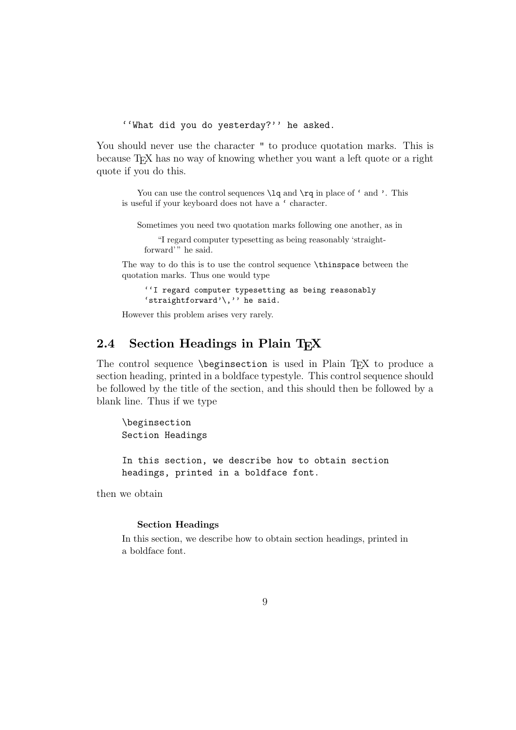''What did you do yesterday?'' he asked.

You should never use the character " to produce quotation marks. This is because T<sub>EX</sub> has no way of knowing whether you want a left quote or a right quote if you do this.

You can use the control sequences  $\lceil \lg \text{and} \rgceil$  in place of ' and '. This is useful if your keyboard does not have a ' character.

Sometimes you need two quotation marks following one another, as in

"I regard computer typesetting as being reasonably 'straightforward'" he said.

The way to do this is to use the control sequence \thinspace between the quotation marks. Thus one would type

''I regard computer typesetting as being reasonably 'straightforward'\,'' he said.

However this problem arises very rarely.

#### 2.4 Section Headings in Plain T<sub>E</sub>X

The control sequence \beginsection is used in Plain T<sub>EX</sub> to produce a section heading, printed in a boldface typestyle. This control sequence should be followed by the title of the section, and this should then be followed by a blank line. Thus if we type

\beginsection Section Headings

In this section, we describe how to obtain section headings, printed in a boldface font.

then we obtain

#### **Section Headings**

In this section, we describe how to obtain section headings, printed in a boldface font.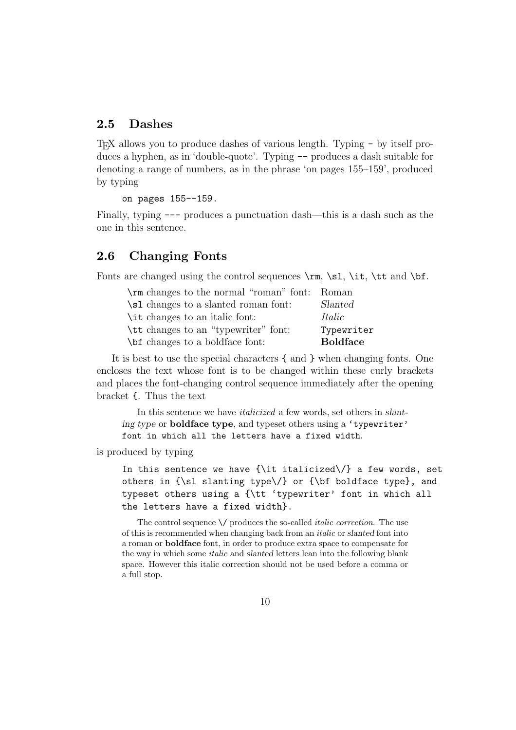#### **2.5 Dashes**

TEX allows you to produce dashes of various length. Typing - by itself produces a hyphen, as in 'double-quote'. Typing -- produces a dash suitable for denoting a range of numbers, as in the phrase 'on pages 155–159', produced by typing

on pages 155--159.

Finally, typing --- produces a punctuation dash—this is a dash such as the one in this sentence.

#### **2.6 Changing Fonts**

Fonts are changed using the control sequences  $\rm \Im$ ,  $\rm \Im$ ,  $\rm \Im$ ,  $\rm \Im$ ,  $\rm \Im$ ,  $\rm \Im$ ,  $\rm \Im$ ,  $\rm \Im$ ,  $\rm \Im$ ,  $\rm \Im$ ,  $\rm \Im$ ,  $\rm \Im$ ,  $\rm \Im$ ,  $\rm \Im$ ,  $\rm \Im$ ,  $\rm \Im$ ,  $\rm \Im$ ,  $\rm \Im$ ,  $\rm \Im$ ,  $\rm \Im$ ,  $\rm \Im$ ,  $\rm \Im$ ,

| \rm changes to the normal "roman" font: Roman |                 |
|-----------------------------------------------|-----------------|
| \sl changes to a slanted roman font:          | Slanted         |
| \ <i>it</i> changes to an italic font:        | Italic          |
| \tt changes to an "typewriter" font:          | Typewriter      |
| \bit changes to a boldface font:              | <b>Boldface</b> |

It is best to use the special characters { and } when changing fonts. One encloses the text whose font is to be changed within these curly brackets and places the font-changing control sequence immediately after the opening bracket {. Thus the text

In this sentence we have italicized a few words, set others in *slanting type* or **boldface type**, and typeset others using a 'typewriter' font in which all the letters have a fixed width.

is produced by typing

In this sentence we have  $\{\it it\ italicized\}/\}$  a few words, set others in  ${\s1}$  slanting type $\prime$  or  ${\b1}$  boldface type}, and typeset others using a {\tt 'typewriter' font in which all the letters have a fixed width}.

The control sequence  $\setminus$  produces the so-called *italic correction*. The use of this is recommended when changing back from an italic or *slanted* font into a roman or **boldface** font, in order to produce extra space to compensate for the way in which some italic and *slanted* letters lean into the following blank space. However this italic correction should not be used before a comma or a full stop.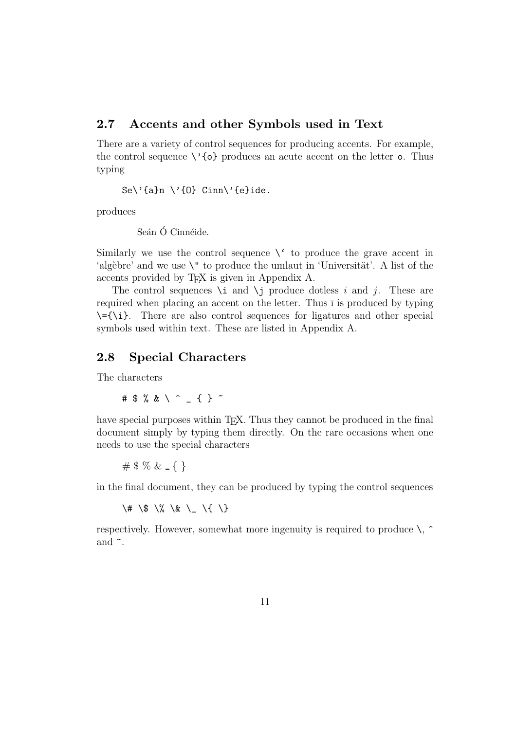#### **2.7 Accents and other Symbols used in Text**

There are a variety of control sequences for producing accents. For example, the control sequence  $\setminus$ '{o} produces an acute accent on the letter o. Thus typing

Se $\langle$ '{a}n  $\langle$ '{0} Cinn $\langle$ '{e}ide.

produces

Seán Ó Cinnéide.

Similarly we use the control sequence  $\setminus$  to produce the grave accent in 'algèbre' and we use  $\Upsilon$  to produce the umlaut in 'Universität'. A list of the accents provided by TEX is given in Appendix A.

The control sequences  $\iota$  and  $\iota$  produce dotless i and j. These are required when placing an accent on the letter. Thus  $\bar{I}$  is produced by typing  $\setminus$ ={\i}. There are also control sequences for ligatures and other special symbols used within text. These are listed in Appendix A.

#### **2.8 Special Characters**

The characters

#\$%&\^\_{}~

have special purposes within T<sub>E</sub>X. Thus they cannot be produced in the final document simply by typing them directly. On the rare occasions when one needs to use the special characters

#  $% &$  { }

in the final document, they can be produced by typing the control sequences

\# \\$ \% \& \\_ \{ \}

respectively. However, somewhat more ingenuity is required to produce  $\setminus$ ,  $\hat{\ }$ and  $\tilde{\phantom{a}}$ .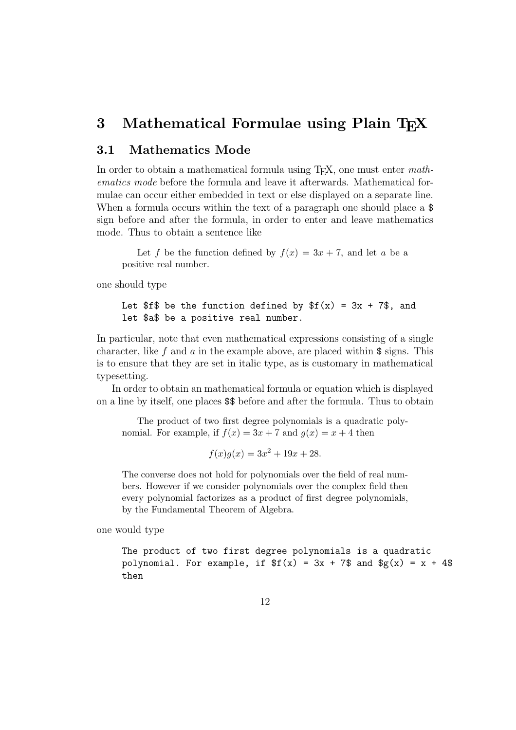### **3** Mathematical Formulae using Plain TFX

#### **3.1 Mathematics Mode**

In order to obtain a mathematical formula using  $T_F X$ , one must enter mathematics mode before the formula and leave it afterwards. Mathematical formulae can occur either embedded in text or else displayed on a separate line. When a formula occurs within the text of a paragraph one should place a  $\$ sign before and after the formula, in order to enter and leave mathematics mode. Thus to obtain a sentence like

Let f be the function defined by  $f(x)=3x + 7$ , and let a be a positive real number.

one should type

Let \$f\$ be the function defined by 
$$
f(x) = 3x + 7\
$$
, and let \$a\$ be a positive real number.

In particular, note that even mathematical expressions consisting of a single character, like f and a in the example above, are placed within  $\frac{1}{2}$  signs. This is to ensure that they are set in italic type, as is customary in mathematical typesetting.

In order to obtain an mathematical formula or equation which is displayed on a line by itself, one places \$\$ before and after the formula. Thus to obtain

The product of two first degree polynomials is a quadratic polynomial. For example, if  $f(x)=3x + 7$  and  $g(x) = x + 4$  then

 $f(x)g(x)=3x^2 + 19x + 28.$ 

The converse does not hold for polynomials over the field of real numbers. However if we consider polynomials over the complex field then every polynomial factorizes as a product of first degree polynomials, by the Fundamental Theorem of Algebra.

one would type

The product of two first degree polynomials is a quadratic polynomial. For example, if  $f(x) = 3x + 7$  and  $f(x) = x + 4$ then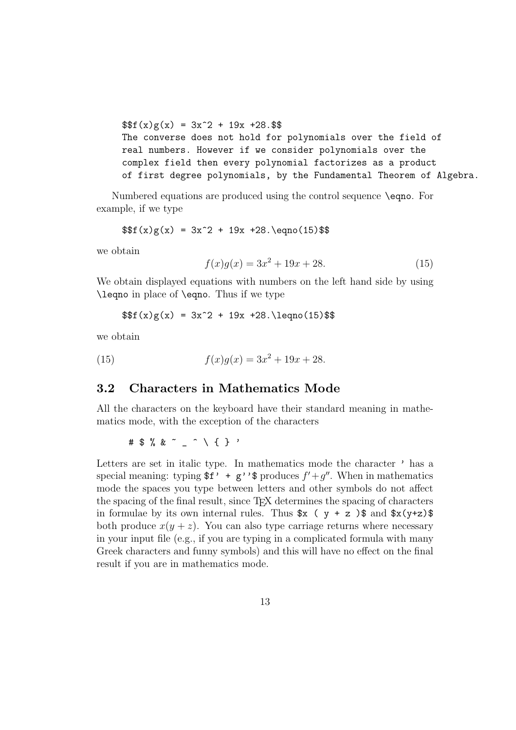$$f(x)g(x) = 3x^2 + 19x + 28.$ The converse does not hold for polynomials over the field of real numbers. However if we consider polynomials over the complex field then every polynomial factorizes as a product of first degree polynomials, by the Fundamental Theorem of Algebra.

Numbered equations are produced using the control sequence \eqno. For example, if we type

$$
$f(x)g(x) = 3x^2 + 19x + 28.\eqno(15) $
$$

we obtain

$$
f(x)g(x) = 3x^2 + 19x + 28.
$$
 (15)

We obtain displayed equations with numbers on the left hand side by using \leqno in place of \eqno. Thus if we type

 $$f(x)g(x) = 3x^2 + 19x +28.\leq(15)$ 

we obtain

(15) 
$$
f(x)g(x) = 3x^2 + 19x + 28.
$$

#### **3.2 Characters in Mathematics Mode**

All the characters on the keyboard have their standard meaning in mathematics mode, with the exception of the characters

#\$%&~\_^\{}'

Letters are set in italic type. In mathematics mode the character  $'$  has a special meaning: typing  $f' + g'$  is produces  $f' + g''$ . When in mathematics mode the spaces you type between letters and other symbols do not affect the spacing of the final result, since TEX determines the spacing of characters in formulae by its own internal rules. Thus  $x \left( y + z \right)$  and  $x(y+z)$ both produce  $x(y + z)$ . You can also type carriage returns where necessary in your input file (e.g., if you are typing in a complicated formula with many Greek characters and funny symbols) and this will have no effect on the final result if you are in mathematics mode.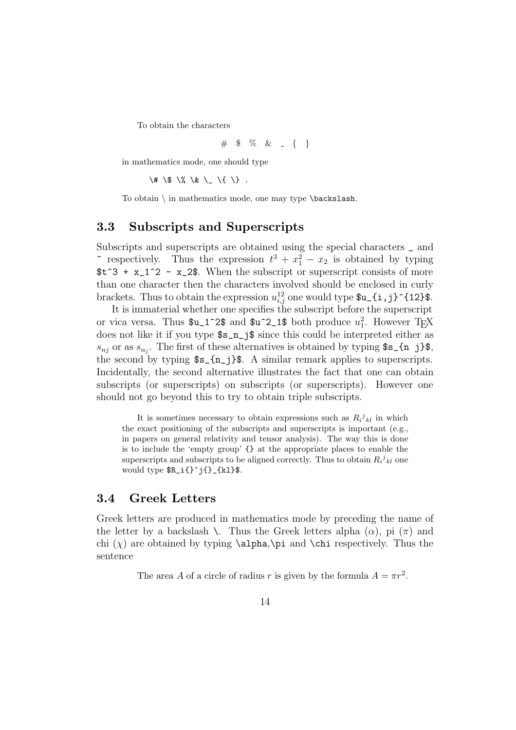To obtain the characters

# \$ % &  $= \{ \}$ 

in mathematics mode, one should type

 $\lambda$   $\#$   $\lambda$   $\$$   $\lambda$   $\&$   $\lambda$   $\lambda$   $\lambda$   $\lambda$  .

To obtain \ in mathematics mode, one may type \backslash.

#### **3.3 Subscripts and Superscripts**

Subscripts and superscripts are obtained using the special characters \_ and  $\hat{i}$  respectively. Thus the expression  $t^3 + x_1^2 - x_2$  is obtained by typing  $t^3 + x_1^2 - x_2$ . When the subscript or superscript consists of more than one character then the characters involved should be enclosed in curly brackets. Thus to obtain the expression  $u_{i,j}^{12}$  one would type  $u_{i,j}^{12}$  is  $i,j$  f12} $\$ .

It is immaterial whether one specifies the subscript before the superscript or vica versa. Thus  $u_1^2$  and  $u_2^2$  and  $u_1^2$ , both produce  $u_1^2$ . However T<sub>E</sub>X does not like it if you type \$s\_n\_j\$ since this could be interpreted either as  $s_{nj}$  or as  $s_{n_j}$ . The first of these alternatives is obtained by typing  $s_{1}$  i j}\$, the second by typing  $s_{s_{n-1}}$ }\$. A similar remark applies to superscripts. Incidentally, the second alternative illustrates the fact that one can obtain subscripts (or superscripts) on subscripts (or superscripts). However one should not go beyond this to try to obtain triple subscripts.

It is sometimes necessary to obtain expressions such as  $R_i^j{}_{kl}$  in which the exact positioning of the subscripts and superscripts is important (e.g., in papers on general relativity and tensor analysis). The way this is done is to include the 'empty group' {} at the appropriate places to enable the superscripts and subscripts to be aligned correctly. Thus to obtain  $R_i^j{}_{kl}$  one would type  $R_i^{j^*}$  (kl}\$.

#### **3.4 Greek Letters**

Greek letters are produced in mathematics mode by preceding the name of the letter by a backslash  $\setminus$ . Thus the Greek letters alpha  $(\alpha)$ , pi  $(\pi)$  and chi  $(\chi)$  are obtained by typing **\alpha,\pi** and **\chi** respectively. Thus the sentence

The area A of a circle of radius r is given by the formula  $A = \pi r^2$ .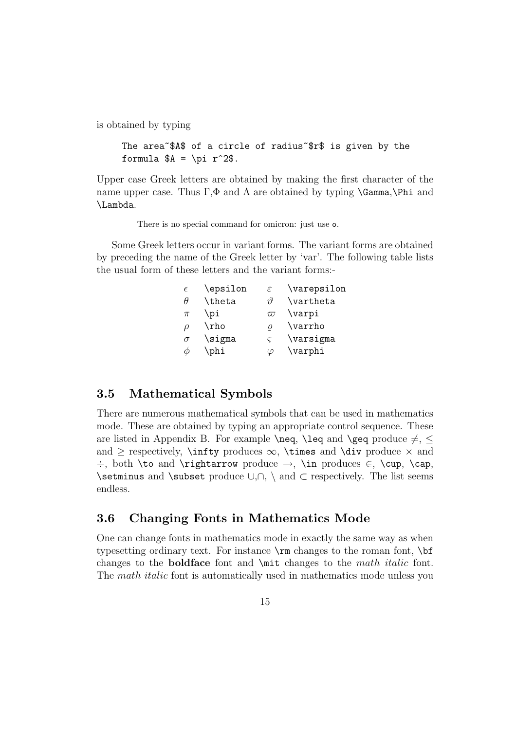is obtained by typing

```
The area~$A$ of a circle of radius~$r$ is given by the
formula A = \pi^2.
```
Upper case Greek letters are obtained by making the first character of the name upper case. Thus  $\Gamma, \Phi$  and  $\Lambda$  are obtained by typing **\Gamma**, **\Phi** and \Lambda.

There is no special command for omicron: just use o.

Some Greek letters occur in variant forms. The variant forms are obtained by preceding the name of the Greek letter by 'var'. The following table lists the usual form of these letters and the variant forms:-

| $\epsilon$ | \epsilon | $\varepsilon$ | \varepsilon |
|------------|----------|---------------|-------------|
| $\theta$   | \theta   | 14            | \vartheta   |
| $\pi$      | \pi      | $\varpi$      | \varpi      |
| $\rho$     | \rho     | 0             | \varrho     |
| $\sigma$   | \sigma   |               | \varsigma   |
|            | \phi     |               | \varphi     |

#### **3.5 Mathematical Symbols**

There are numerous mathematical symbols that can be used in mathematics mode. These are obtained by typing an appropriate control sequence. These are listed in Appendix B. For example  $\neq$ ,  $\leq$  and  $\geq$  produce  $\neq$ ,  $\leq$ and > respectively,  $\infty$ ,  $\times \infty$ ,  $\times \infty$  and  $\div \to \infty$  and ÷, both \to and \rightarrow produce →, \in produces ∈, \cup, \cap, \setminus and \subset produce ∪,∩, \ and ⊂ respectively. The list seems endless.

#### **3.6 Changing Fonts in Mathematics Mode**

One can change fonts in mathematics mode in exactly the same way as when typesetting ordinary text. For instance \rm changes to the roman font, \bf changes to the **boldface** font and \mit changes to the math italic font. The *math italic* font is automatically used in mathematics mode unless you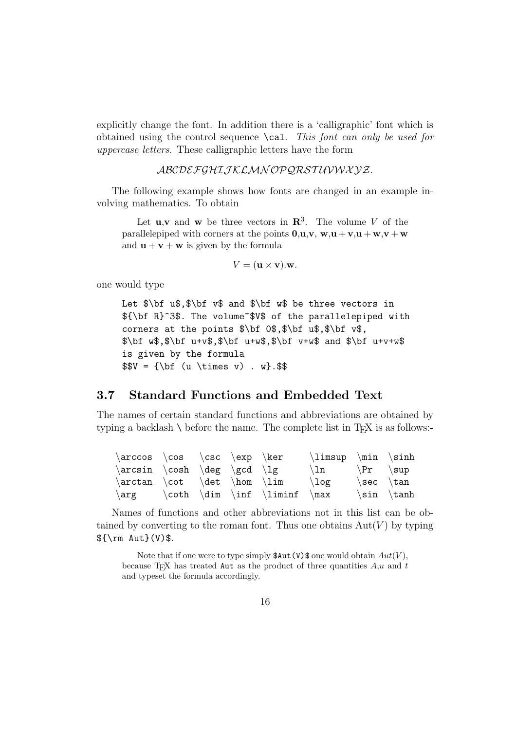explicitly change the font. In addition there is a 'calligraphic' font which is obtained using the control sequence  $\setminus$  cal. This font can only be used for uppercase letters. These calligraphic letters have the form

#### ABCDEFGHIJ KLMN OPQRST UVWX YZ.

The following example shows how fonts are changed in an example involving mathematics. To obtain

Let **u**,**v** and **w** be three vectors in  $\mathbb{R}^3$ . The volume V of the parallelepiped with corners at the points  $0, u, v, w, u + v, u + w, v + w$ and  $\mathbf{u} + \mathbf{v} + \mathbf{w}$  is given by the formula

$$
V = (\mathbf{u} \times \mathbf{v}).\mathbf{w}.
$$

one would type

Let  $\bf b = \frac{\bar{x} - \bar{y}}{1 - \bar{y}}$  and  $\bf b = \bar{y}$  be three vectors in \${\bf R}^3\$. The volume~\$V\$ of the parallelepiped with corners at the points \$\bf 0\$,\$\bf u\$,\$\bf v\$,  $\bf$ bf w\$,\$\bf u+v\$,\$\bf u+w\$,\$\bf v+w\$ and \$\bf u+v+w\$ is given by the formula  $$V = {\bf \u \times v} . $$ 

#### **3.7 Standard Functions and Embedded Text**

The names of certain standard functions and abbreviations are obtained by typing a backlash  $\setminus$  before the name. The complete list in T<sub>E</sub>X is as follows:-

|  | $\arccos \cos \csc \exp \ker$ |                                       | $\limsup$ \min \sinh    |                                 |                |
|--|-------------------------------|---------------------------------------|-------------------------|---------------------------------|----------------|
|  | $\arcsin \cosh \deg \gcd \lg$ |                                       | $\ln \left( \Pr \ \sup$ |                                 |                |
|  |                               | $\arctan \cot \det \hom \lim$         | $\log$                  | $\setminus$ sec $\setminus$ tan |                |
|  |                               | $\arg$ $\coth \dim \inf \liminf \max$ |                         |                                 | $\sin \ \tanh$ |

Names of functions and other abbreviations not in this list can be obtained by converting to the roman font. Thus one obtains  $Aut(V)$  by typing \${\rm Aut}(V)\$.

Note that if one were to type simply  $\texttt{SAut}(V)$  one would obtain  $Aut(V)$ , because T<sub>EX</sub> has treated Aut as the product of three quantities  $A, u$  and t and typeset the formula accordingly.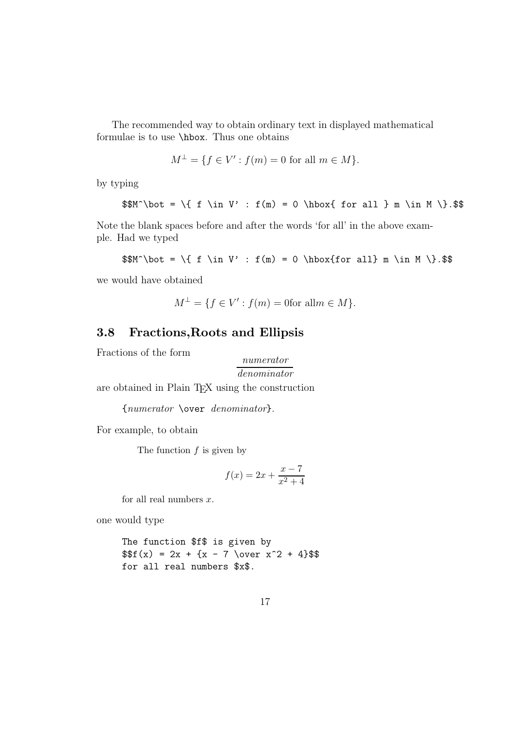The recommended way to obtain ordinary text in displayed mathematical formulae is to use \hbox. Thus one obtains

$$
M^{\perp} = \{ f \in V' : f(m) = 0 \text{ for all } m \in M \}.
$$

by typing

$$
M^{\bot} = \{ f \in V' : f(m) = 0 \hbox{ for all } m \in M \} .
$$

Note the blank spaces before and after the words 'for all' in the above example. Had we typed

$$
\mathcal{M}^{\bot} = \{ f \in V' : f(m) = 0 \hbox{for all} m \in M \}.\
$$

we would have obtained

$$
M^{\perp} = \{ f \in V' : f(m) = 0 \text{for all } m \in M \}.
$$

### **3.8 Fractions,Roots and Ellipsis**

Fractions of the form

$$
\frac{numerator}{denominator}
$$

are obtained in Plain TEX using the construction

{numerator \over denominator}.

For example, to obtain

The function  $f$  is given by

$$
f(x) = 2x + \frac{x - 7}{x^2 + 4}
$$

for all real numbers  $x$ .

one would type

The function \$f\$ is given by  $$f(x) = 2x + {x - 7 \over 0} + 4}$ for all real numbers \$x\$.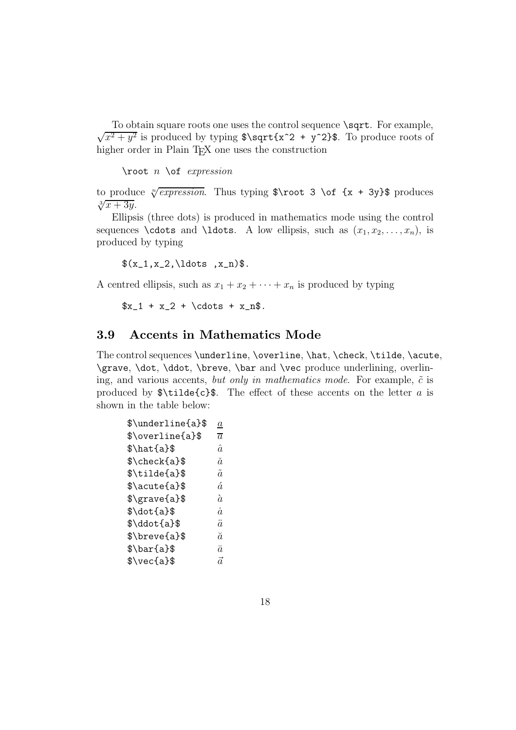To obtain square roots one uses the control sequence \sqrt. For example,  $\sqrt{x^2 + y^2}$  is produced by typing  $\sqrt{x^2 + y^2}$ . To produce roots of higher order in Plain T<sub>E</sub>X one uses the construction

 $\lambda$ root n  $\delta$  expression

to produce  $\sqrt[n]{expression}$ . Thus typing \$\root 3 \of {x + 3y}\$ produces  $\sqrt[3]{x+3y}$ .

Ellipsis (three dots) is produced in mathematics mode using the control sequences **\cdots** and **\ldots**. A low ellipsis, such as  $(x_1, x_2, \ldots, x_n)$ , is produced by typing

 $(x_1, x_2, \ldots, x_n)$ .

A centred ellipsis, such as  $x_1 + x_2 + \cdots + x_n$  is produced by typing

 $x_1 + x_2 + \cdot + x + x_n$ .

#### **3.9 Accents in Mathematics Mode**

The control sequences \underline, \overline, \hat, \check, \tilde, \acute, \grave, \dot, \ddot, \breve, \bar and \vec produce underlining, overlining, and various accents, but only in mathematics mode. For example,  $\tilde{c}$  is produced by  $\tilde{\c}$  is The effect of these accents on the letter a is shown in the table below:

| \$\underline{a}\$                 | $\it a$        |
|-----------------------------------|----------------|
| \$\overline{a}\$                  | $\overline{a}$ |
| $\hat{\alpha}$                    | $\hat{a}$      |
| \$\check{a}\$                     | ă              |
| $\tilde{\mathcal{S}}$             | $\tilde{a}$    |
| $\lambda$ s acute $\{a\}$         | á              |
| $\frac{1}{8}$                     | à              |
| $\dot{\delta}$                    | $\dot{a}$      |
| $\ddot{\text{s}}\ddot{\text{a}}\$ | ä              |
| \$\breve{a}\$                     | ă              |
| $\bar{\text{a}}$                  | $\bar{a}$      |
| $\text{Veca}\$                    | ã              |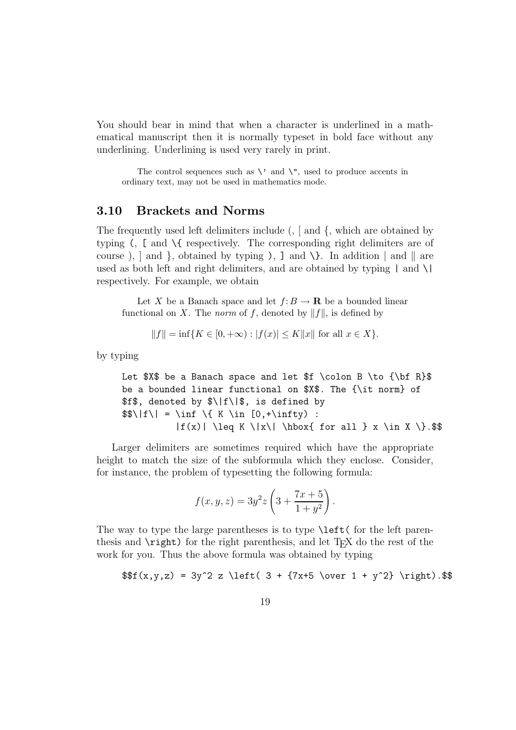You should bear in mind that when a character is underlined in a mathematical manuscript then it is normally typeset in bold face without any underlining. Underlining is used very rarely in print.

The control sequences such as  $\setminus$  and  $\setminus$ ", used to produce accents in ordinary text, may not be used in mathematics mode.

#### **3.10 Brackets and Norms**

The frequently used left delimiters include (, [ and {, which are obtained by typing (, [ and \{ respectively. The corresponding right delimiters are of course),  $\alpha$  and  $\alpha$ , obtained by typing ),  $\alpha$  and  $\alpha$ . In addition  $\alpha$  and  $\alpha$  are used as both left and right delimiters, and are obtained by typing  $|$  and  $\setminus$ respectively. For example, we obtain

Let X be a Banach space and let  $f: B \to \mathbf{R}$  be a bounded linear functional on X. The *norm* of f, denoted by  $||f||$ , is defined by

$$
||f|| = inf{K \in [0, +\infty) : |f(x)| \le K ||x||
$$
 for all  $x \in X}$ .

by typing

Let  $X\$  be a Banach space and let  $f \colon B \to {\bF}$ be a bounded linear functional on \$X\$. The {\it norm} of \$f\$, denoted by \$\|f\|\$, is defined by  $\$\|\{k\in [0,+\infty)\}:$  $|f(x)| \leq K \|x\| \text{ for all } x \in X \}$ .

Larger delimiters are sometimes required which have the appropriate height to match the size of the subformula which they enclose. Consider, for instance, the problem of typesetting the following formula:

$$
f(x, y, z) = 3y^{2}z \left(3 + \frac{7x + 5}{1 + y^{2}}\right).
$$

The way to type the large parentheses is to type **\left(** for the left parenthesis and  $\rightleftharpoons$  for the right parenthesis, and let T<sub>EX</sub> do the rest of the work for you. Thus the above formula was obtained by typing

$$
$f(x,y,z) = 3y^2 z \left( 3 + {7x+5 \over 1 + y^2} \right).
$$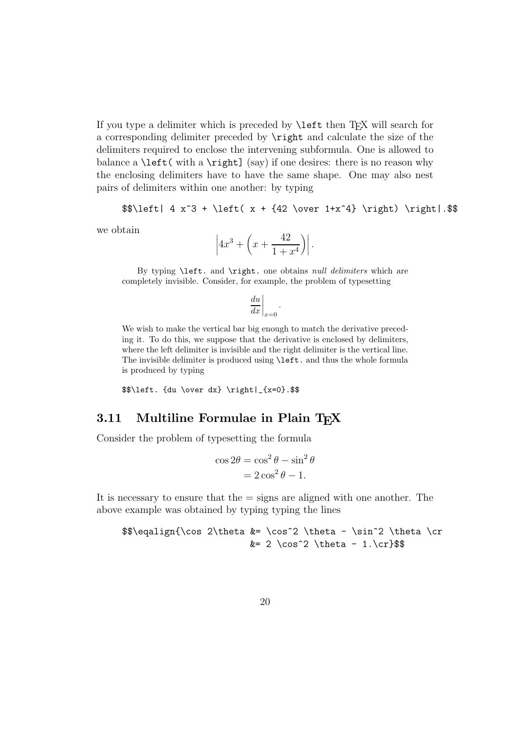If you type a delimiter which is preceded by  $\left| \right|$  then T<sub>EX</sub> will search for a corresponding delimiter preceded by \right and calculate the size of the delimiters required to enclose the intervening subformula. One is allowed to balance a  $\left( \alpha \right)$  with a  $\right)$  (say) if one desires: there is no reason why the enclosing delimiters have to have the same shape. One may also nest pairs of delimiters within one another: by typing

```
\left| 4 x^3 + \left( x + \{42 \over 1+x^4} \right) \right|. \$$
```
we obtain

$$
\left|4x^3 + \left(x + \frac{42}{1+x^4}\right)\right|.
$$

By typing \left. and \right. one obtains null delimiters which are completely invisible. Consider, for example, the problem of typesetting

$$
\left. \frac{du}{dx} \right|_{x=0}
$$

.

We wish to make the vertical bar big enough to match the derivative preceding it. To do this, we suppose that the derivative is enclosed by delimiters, where the left delimiter is invisible and the right delimiter is the vertical line. The invisible delimiter is produced using \left. and thus the whole formula is produced by typing

\$\$\left. {du \over dx} \right|\_{x=0}.\$\$

#### **3.11 Multiline Formulae in Plain TFX**

Consider the problem of typesetting the formula

$$
\cos 2\theta = \cos^2 \theta - \sin^2 \theta
$$

$$
= 2\cos^2 \theta - 1.
$$

It is necessary to ensure that the = signs are aligned with one another. The above example was obtained by typing typing the lines

 $\{\cos 2\theta & = \cos^2 \theta - \sin^2 \theta \cr$  $&= 2 \cos^2 2 \theta - 1.\cr$ \$\$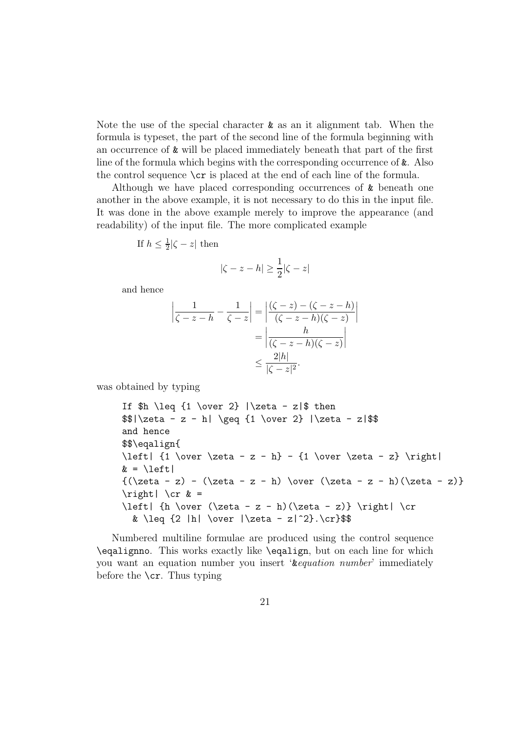Note the use of the special character  $\&$  as an it alignment tab. When the formula is typeset, the part of the second line of the formula beginning with an occurrence of & will be placed immediately beneath that part of the first line of the formula which begins with the corresponding occurrence of &. Also the control sequence  $\csc$  is placed at the end of each line of the formula.

Although we have placed corresponding occurrences of & beneath one another in the above example, it is not necessary to do this in the input file. It was done in the above example merely to improve the appearance (and readability) of the input file. The more complicated example

If 
$$
h \leq \frac{1}{2} |\zeta - z|
$$
 then

$$
|\zeta - z - h| \ge \frac{1}{2}|\zeta - z|
$$

and hence

$$
\left| \frac{1}{\zeta - z - h} - \frac{1}{\zeta - z} \right| = \left| \frac{(\zeta - z) - (\zeta - z - h)}{(\zeta - z - h)(\zeta - z)} \right|
$$

$$
= \left| \frac{h}{(\zeta - z - h)(\zeta - z)} \right|
$$

$$
\leq \frac{2|h|}{|\zeta - z|^2}.
$$

was obtained by typing

If  $h \leq \{1 \over 2\} \leq -z\$  then  $$| \zeta - z - h| \geq {1 \over 2} | \zeta - z|$ and hence \$\$\eqalign{ \left|  $\{1 \over \zeta - z - h\} - \{1 \over \zeta - z\} \right|$  $& = \left| \text{left} \right|$  ${(\zeta - z) - (\zeta - z - h) \over (\zeta - z - h)(\zeta - z)}$  $\right| \operatorname{cr} \& =$ \left| {h \over  $(\zeta - z - h)(\zeta - z)$  \right| \cr & \leq  $\{2 |h| \over |\text{2} - z|^2\}.\text{sr}$ 

Numbered multiline formulae are produced using the control sequence \eqalignno. This works exactly like \eqalign, but on each line for which you want an equation number you insert '&equation number' immediately before the  $\csc$ . Thus typing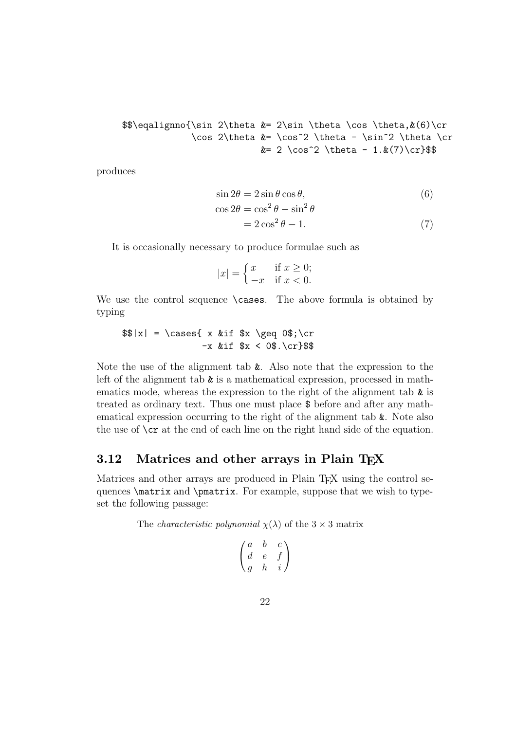```
\{\sin 2\theta & = 2\sin \theta \cos \theta, \& (6)\cr\cos 2\theta & = \cos^2 \theta - \sin^2 \theta \c&= 2 \cos^2 \theta - 1. \&(7)\cr
```
produces

$$
\sin 2\theta = 2\sin \theta \cos \theta, \tag{6}
$$

$$
\cos 2\theta = \cos^2 \theta - \sin^2 \theta
$$
  
=  $2 \cos^2 \theta - 1$ . (7)

It is occasionally necessary to produce formulae such as

$$
|x| = \begin{cases} x & \text{if } x \ge 0; \\ -x & \text{if } x < 0. \end{cases}
$$

We use the control sequence \cases. The above formula is obtained by typing

```
$|x| = \cases{ x &if $x \geq 0; \cr
              -x &if x < 0$.\cr}$$
```
Note the use of the alignment tab &. Also note that the expression to the left of the alignment tab  $\&$  is a mathematical expression, processed in mathematics mode, whereas the expression to the right of the alignment tab  $\&$  is treated as ordinary text. Thus one must place \$ before and after any mathematical expression occurring to the right of the alignment tab &. Note also the use of  $\csc$  at the end of each line on the right hand side of the equation.

#### **3.12 Matrices and other arrays in Plain TEX**

Matrices and other arrays are produced in Plain T<sub>EX</sub> using the control sequences \matrix and \pmatrix. For example, suppose that we wish to typeset the following passage:

The *characteristic polynomial*  $\chi(\lambda)$  of the  $3 \times 3$  matrix

$$
\begin{pmatrix} a & b & c \\ d & e & f \\ g & h & i \end{pmatrix}
$$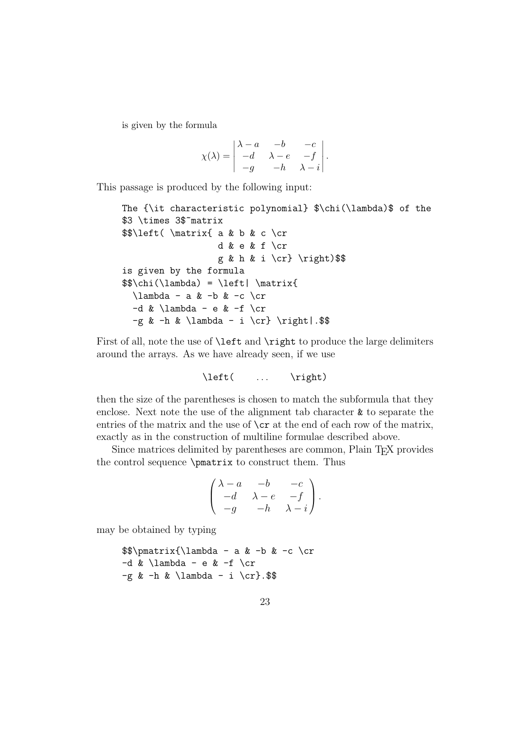is given by the formula

$$
\chi(\lambda) = \begin{vmatrix}\lambda - a & -b & -c \\
-d & \lambda - e & -f \\
-g & -h & \lambda - i\n\end{vmatrix}.
$$

This passage is produced by the following input:

```
The {\it characteristic polynomial} $\chi(\lambda)$ of the
$3 \times 3$~matrix
$$\left( \matrix{ a & b & c \cr
                   d & e & f \cr
                   g & h & i \cr} \right)$$
is given by the formula
\{\theta\} = \left| \mathrm{matrix}\right\}\lambda - a & -b & -c \cr-d & \lambda \lambda - e & -f \cr
  -g & -h & \lambda - i \cr} \right|.$$
```
First of all, note the use of **\left** and **\right** to produce the large delimiters around the arrays. As we have already seen, if we use

\left( ... \right)

then the size of the parentheses is chosen to match the subformula that they enclose. Next note the use of the alignment tab character  $\&$  to separate the entries of the matrix and the use of  $\c{c}$  at the end of each row of the matrix, exactly as in the construction of multiline formulae described above.

Since matrices delimited by parentheses are common, Plain T<sub>EX</sub> provides the control sequence \pmatrix to construct them. Thus

$$
\begin{pmatrix}\n\lambda - a & -b & -c \\
-d & \lambda - e & -f \\
-g & -h & \lambda - i\n\end{pmatrix}.
$$

may be obtained by typing

```
\$\\pm\ix{\lambda - a & -b & -c \cr-d & \Lambda \lambda - e & -f \cr
-g & -h & \lambda ambda - i \cr}.$$
```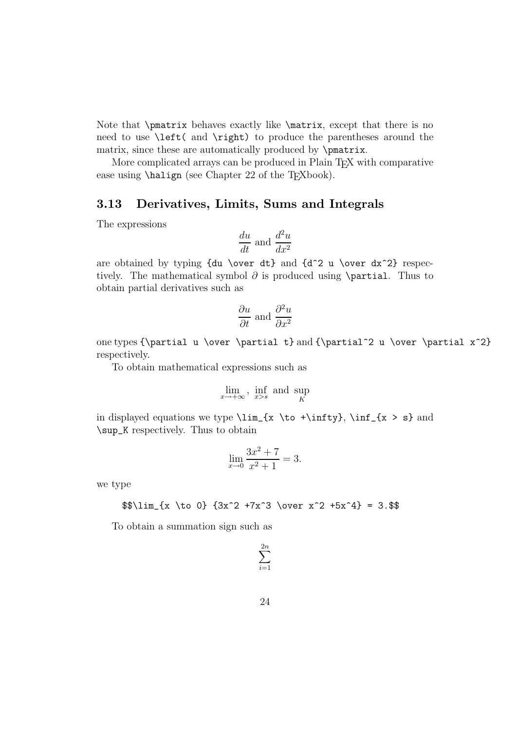Note that \pmatrix behaves exactly like \matrix, except that there is no need to use \left( and \right) to produce the parentheses around the matrix, since these are automatically produced by \pmatrix.

More complicated arrays can be produced in Plain T<sub>EX</sub> with comparative ease using  $\hbar$  (see Chapter 22 of the T<sub>E</sub>Xbook).

#### **3.13 Derivatives, Limits, Sums and Integrals**

The expressions

$$
\frac{du}{dt} \text{ and } \frac{d^2u}{dx^2}
$$

are obtained by typing  $\{du \over dt\}$  and  $\{d^2 u \over dx^2\}$  respectively. The mathematical symbol  $\partial$  is produced using \partial. Thus to obtain partial derivatives such as

$$
\frac{\partial u}{\partial t}
$$
 and  $\frac{\partial^2 u}{\partial x^2}$ 

one types {\partial u \over \partial t} and {\partial^2 u \over \partial x^2} respectively.

To obtain mathematical expressions such as

$$
\lim_{x \to +\infty}, \ \inf_{x > s} \text{ and } \sup_{K}
$$

in displayed equations we type  $\lim_{x \to \infty}$ ,  $\inf_{x > s}$  and \sup\_K respectively. Thus to obtain

$$
\lim_{x \to 0} \frac{3x^2 + 7}{x^2 + 1} = 3.
$$

we type

$$
\frac{x \to 0} {3x^2 +7x^3 \over x^2 +5x^4} = 3.$$
$$

To obtain a summation sign such as

$$
\sum_{i=1}^{2n}
$$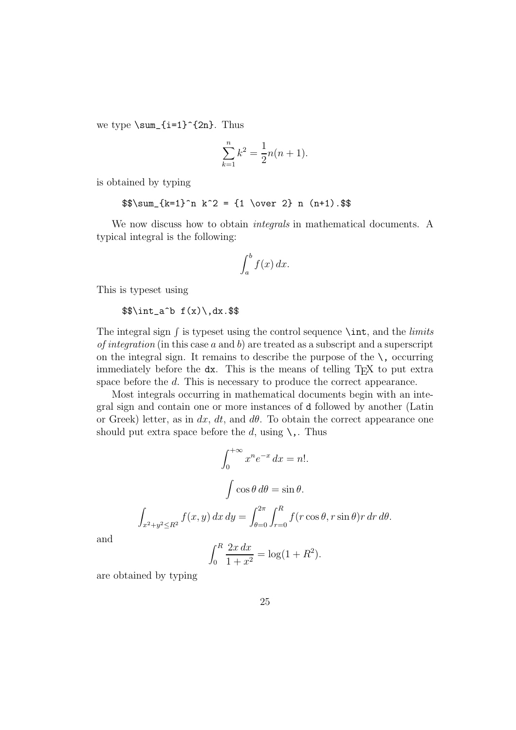we type  $\sum_{i=1}^{2n}$ . Thus

$$
\sum_{k=1}^{n} k^2 = \frac{1}{2}n(n+1).
$$

is obtained by typing

$$
\$\sum_{k=1}^n k^2 = \{1 \over 2} n (n+1).
$$

We now discuss how to obtain integrals in mathematical documents. A typical integral is the following:

$$
\int_a^b f(x) \, dx.
$$

This is typeset using

$$
\sin t_a^b f(x), dx
$$
.

The integral sign  $\int$  is typeset using the control sequence  $\int$  int, and the *limits* of integration (in this case  $a$  and  $b$ ) are treated as a subscript and a superscript on the integral sign. It remains to describe the purpose of the  $\lambda$ , occurring immediately before the dx. This is the means of telling T<sub>E</sub>X to put extra space before the d. This is necessary to produce the correct appearance.

Most integrals occurring in mathematical documents begin with an integral sign and contain one or more instances of d followed by another (Latin or Greek) letter, as in dx, dt, and d $\theta$ . To obtain the correct appearance one should put extra space before the d, using  $\lambda$ ,. Thus

$$
\int_0^{+\infty} x^n e^{-x} dx = n!.
$$

$$
\int \cos \theta d\theta = \sin \theta.
$$

$$
\int_{x^2 + y^2 \le R^2} f(x, y) dx dy = \int_{\theta=0}^{2\pi} \int_{r=0}^R f(r \cos \theta, r \sin \theta) r dr d\theta.
$$

$$
\int_0^R 2x dx \qquad (4.22)
$$

and

$$
\int_0^R \frac{2x \, dx}{1 + x^2} = \log(1 + R^2).
$$

are obtained by typing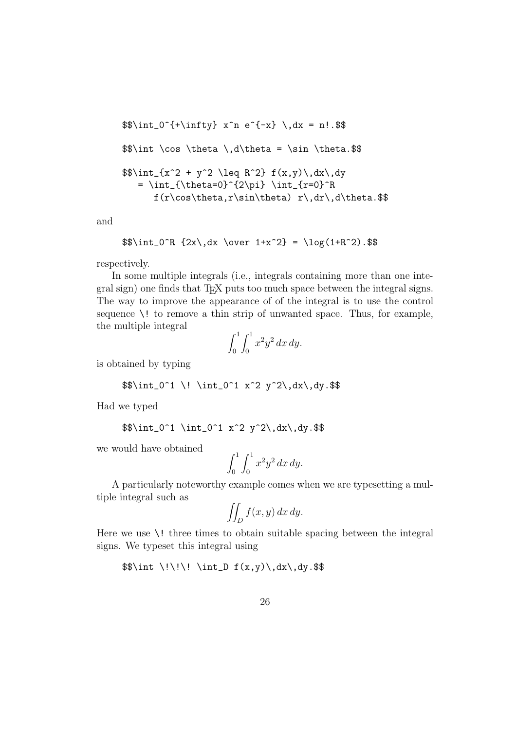```
\int_{0^{\{\pm\infty\}} x^n e^{-x}} \, dx = n! \\\int \cos \theta \, \, d\theta = \sin \theta.
\int_{x^2 + y^2 \leq R^2} f(x,y) \, dx, dy= \int_{\theta=0}^{2\pi} \int_{r=0}^Rf(r\cos\theta, r\sin\theta) r\,dr\,d\theta.$$
```
and

$$
\delta\int_0^R \{2x\, dx \over 1+x^2} = \log(1+R^2) .
$$

respectively.

In some multiple integrals (i.e., integrals containing more than one integral sign) one finds that T<sub>EX</sub> puts too much space between the integral signs. The way to improve the appearance of of the integral is to use the control sequence \! to remove a thin strip of unwanted space. Thus, for example, the multiple integral

$$
\int_0^1 \int_0^1 x^2 y^2 dx dy.
$$

is obtained by typing

$$
\int_0^1 \iint_0^1 x^2 y^2\,dx\,dy.
$$

Had we typed

\$\$\int\_0^1 \int\_0^1 x^2 y^2\,dx\,dy.\$\$

we would have obtained

$$
\int_0^1 \int_0^1 x^2 y^2 \, dx \, dy.
$$

A particularly noteworthy example comes when we are typesetting a multiple integral such as

$$
\iint_D f(x, y) \, dx \, dy.
$$

Here we use  $\setminus$ ! three times to obtain suitable spacing between the integral signs. We typeset this integral using

 $\frac{\lim_{\xi} \int_{\xi} f(x,y)}{\lim_{\xi} f(x,y)}$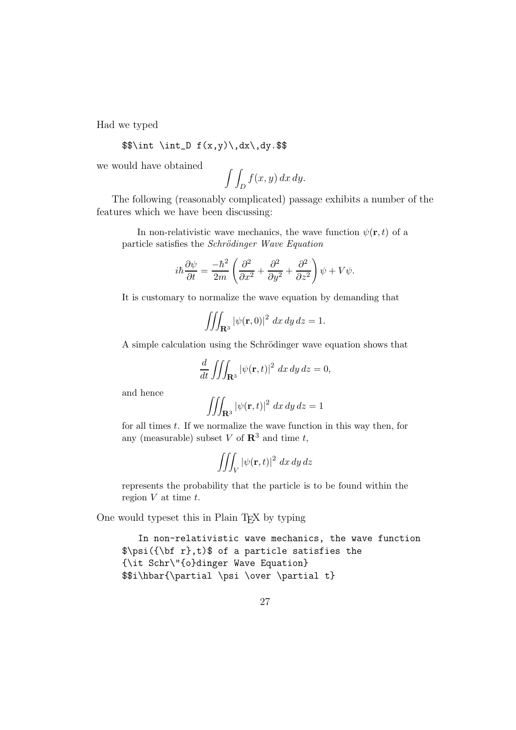Had we typed

$$
\int \int \int D f(x,y) \, dx \, dy
$$
.

we would have obtained

$$
\int \int_D f(x, y) \, dx \, dy.
$$

The following (reasonably complicated) passage exhibits a number of the features which we have been discussing:

In non-relativistic wave mechanics, the wave function  $\psi(\mathbf{r},t)$  of a particle satisfies the Schrödinger Wave Equation

$$
i\hbar \frac{\partial \psi}{\partial t} = \frac{-\hbar^2}{2m} \left( \frac{\partial^2}{\partial x^2} + \frac{\partial^2}{\partial y^2} + \frac{\partial^2}{\partial z^2} \right) \psi + V\psi.
$$

It is customary to normalize the wave equation by demanding that

$$
\iiint_{\mathbf{R}^3} |\psi(\mathbf{r}, 0)|^2 dx dy dz = 1.
$$

A simple calculation using the Schrödinger wave equation shows that

$$
\frac{d}{dt} \iiint_{\mathbf{R}^3} |\psi(\mathbf{r},t)|^2 dx dy dz = 0,
$$

and hence

$$
\iiint_{\mathbf{R}^3} |\psi(\mathbf{r},t)|^2 dx dy dz = 1
$$

for all times  $t$ . If we normalize the wave function in this way then, for any (measurable) subset V of  $\mathbb{R}^3$  and time t,

$$
\iiint_V |\psi(\mathbf{r},t)|^2 dx dy dz
$$

represents the probability that the particle is to be found within the region  $V$  at time  $t$ .

One would typeset this in Plain T<sub>EX</sub> by typing

In non-relativistic wave mechanics, the wave function \$\psi({\bf r},t)\$ of a particle satisfies the {\it Schr\"{o}dinger Wave Equation} \$\$i\hbar{\partial \psi \over \partial t}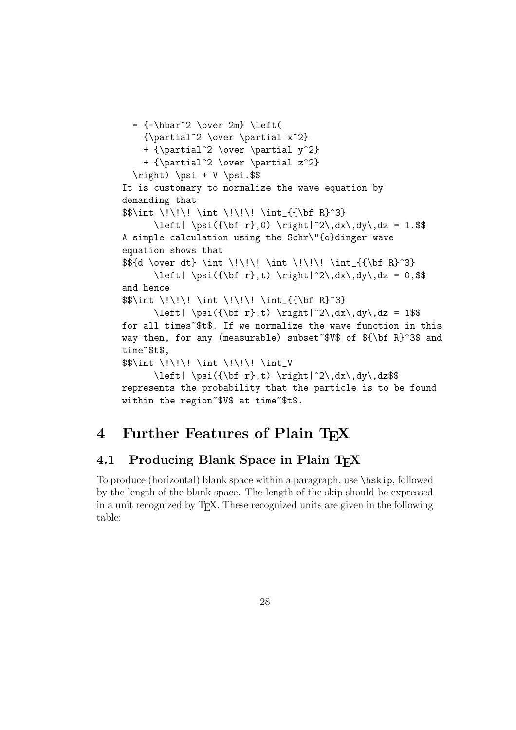```
= {\-\hbar^2 \over 2m} \left({\partial^2 \over \partial x^2}
    + {\partial^2 \over \partial y^2}
    + {\partial^2 \over \partial z^2}
  \right) \psi + V \psi.$$
It is customary to normalize the wave equation by
demanding that
$$\int \!\!\! \int \!\!\! \int_{{\bf R}^3}
      \left| \psi({\bf r},0) \right|^2\,dx\,dy\,dz = 1.$$
A simple calculation using the Schr\"{o}dinger wave
equation shows that
${d \over dt} \int \lvert \lvert \int \lvert \lvert \rvert \rvert + \int_{\{\bf f}^3\}\left| \psi({\bf r},t) \right|^2\,dx\,dy\,dz = 0,$$
and hence
$$\int \!\!\! \int \!\!\! \int_{{\bf R}^3}
      \left| \psi({\bf r},t) \right|^2\,dx\,dy\,dz = 1$$
for all times~$t$. If we normalize the wave function in this
way then, for any (measurable) subset~$V$ of ${\bf R}^3$ and
time~$t$,
\\int \!\!\! \int \!\!\! \int_V
      \left| \psi({\bf r},t) \right|^2\,dx\,dy\,dz$$
represents the probability that the particle is to be found
within the region~$V$ at time~$t$.
```
### **4 Further Features of Plain TEX**

### **4.1 Producing Blank Space in Plain TEX**

To produce (horizontal) blank space within a paragraph, use \hskip, followed by the length of the blank space. The length of the skip should be expressed in a unit recognized by TEX. These recognized units are given in the following table: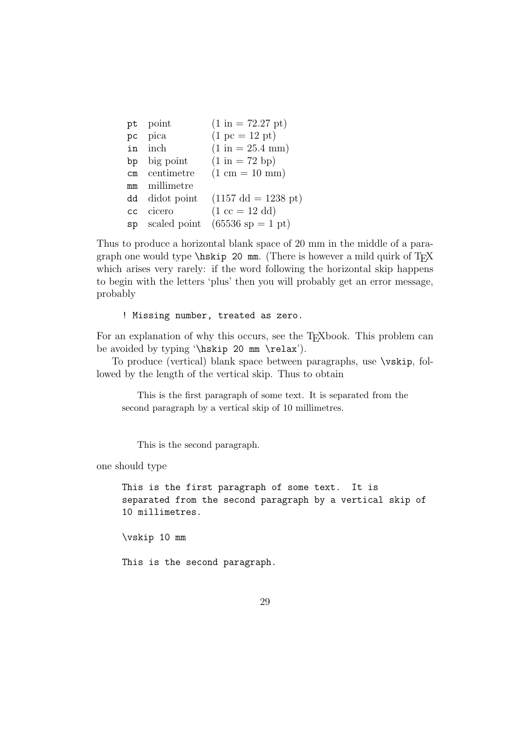| pt point        | $(1 \text{ in} = 72.27 \text{ pt})$   |
|-----------------|---------------------------------------|
| pc pica         | $(1 pc = 12 pt)$                      |
| in inch         | $(1 \text{ in} = 25.4 \text{ mm})$    |
| bp big point    | $(1 \text{ in} = 72 \text{ bp})$      |
| cm centimetre   | $(1 cm = 10 mm)$                      |
| millimetre      |                                       |
| dd didot point  | $(1157 \text{ dd} = 1238 \text{ pt})$ |
| cicero<br>cc    | $(1 \csc = 12 \text{ dd})$            |
| sp scaled point | $(65536 \text{ sp} = 1 \text{ pt})$   |
|                 |                                       |

Thus to produce a horizontal blank space of 20 mm in the middle of a paragraph one would type  $\hbar$ skip 20 mm. (There is however a mild quirk of TFX which arises very rarely: if the word following the horizontal skip happens to begin with the letters 'plus' then you will probably get an error message, probably

! Missing number, treated as zero.

For an explanation of why this occurs, see the T<sub>E</sub>Xbook. This problem can be avoided by typing '\hskip 20 mm \relax').

To produce (vertical) blank space between paragraphs, use \vskip, followed by the length of the vertical skip. Thus to obtain

This is the first paragraph of some text. It is separated from the second paragraph by a vertical skip of 10 millimetres.

This is the second paragraph.

one should type

This is the first paragraph of some text. It is separated from the second paragraph by a vertical skip of 10 millimetres.

\vskip 10 mm

This is the second paragraph.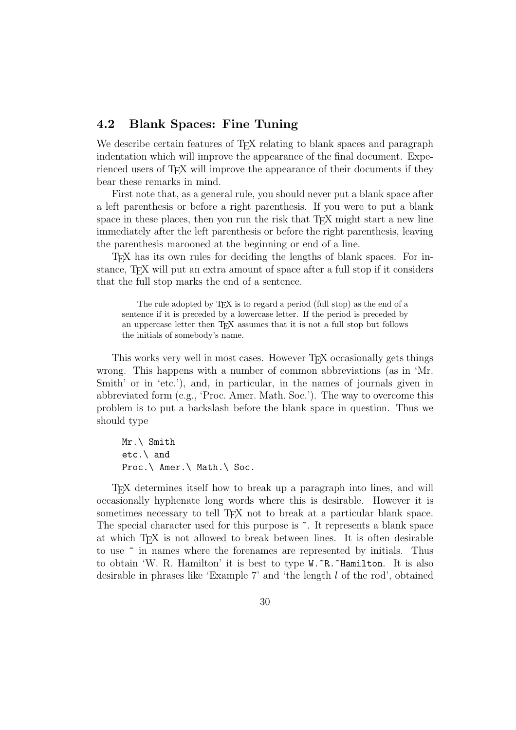#### **4.2 Blank Spaces: Fine Tuning**

We describe certain features of T<sub>EX</sub> relating to blank spaces and paragraph indentation which will improve the appearance of the final document. Experienced users of T<sub>E</sub>X will improve the appearance of their documents if they bear these remarks in mind.

First note that, as a general rule, you should never put a blank space after a left parenthesis or before a right parenthesis. If you were to put a blank space in these places, then you run the risk that T<sub>EX</sub> might start a new line immediately after the left parenthesis or before the right parenthesis, leaving the parenthesis marooned at the beginning or end of a line.

TEX has its own rules for deciding the lengths of blank spaces. For instance, T<sub>E</sub>X will put an extra amount of space after a full stop if it considers that the full stop marks the end of a sentence.

The rule adopted by T<sub>F</sub>X is to regard a period (full stop) as the end of a sentence if it is preceded by a lowercase letter. If the period is preceded by an uppercase letter then TEX assumes that it is not a full stop but follows the initials of somebody's name.

This works very well in most cases. However T<sub>EX</sub> occasionally gets things wrong. This happens with a number of common abbreviations (as in 'Mr. Smith' or in 'etc.'), and, in particular, in the names of journals given in abbreviated form (e.g., 'Proc. Amer. Math. Soc.'). The way to overcome this problem is to put a backslash before the blank space in question. Thus we should type

Mr.\ Smith etc.\ and Proc.\ Amer.\ Math.\ Soc.

TEX determines itself how to break up a paragraph into lines, and will occasionally hyphenate long words where this is desirable. However it is sometimes necessary to tell T<sub>EX</sub> not to break at a particular blank space. The special character used for this purpose is  $\tilde{\cdot}$ . It represents a blank space at which TEX is not allowed to break between lines. It is often desirable to use ~ in names where the forenames are represented by initials. Thus to obtain 'W. R. Hamilton' it is best to type W. "R. "Hamilton. It is also desirable in phrases like 'Example 7' and 'the length  $l$  of the rod', obtained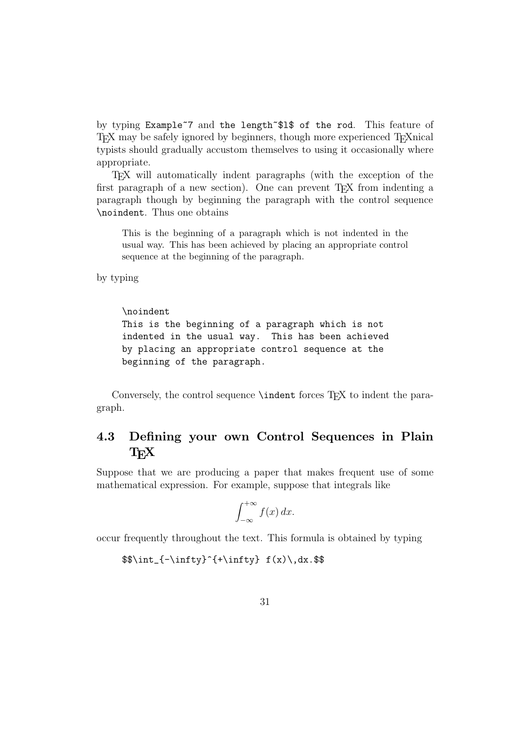by typing Example~7 and the length~\$l\$ of the rod. This feature of T<sub>EX</sub> may be safely ignored by beginners, though more experienced T<sub>E</sub>Xnical typists should gradually accustom themselves to using it occasionally where appropriate.

TEX will automatically indent paragraphs (with the exception of the first paragraph of a new section). One can prevent T<sub>EX</sub> from indenting a paragraph though by beginning the paragraph with the control sequence \noindent. Thus one obtains

This is the beginning of a paragraph which is not indented in the usual way. This has been achieved by placing an appropriate control sequence at the beginning of the paragraph.

by typing

\noindent This is the beginning of a paragraph which is not indented in the usual way. This has been achieved by placing an appropriate control sequence at the beginning of the paragraph.

Conversely, the control sequence **\indent** forces T<sub>E</sub>X to indent the paragraph.

### **4.3 Defining your own Control Sequences in Plain TEX**

Suppose that we are producing a paper that makes frequent use of some mathematical expression. For example, suppose that integrals like

$$
\int_{-\infty}^{+\infty} f(x) \, dx.
$$

occur frequently throughout the text. This formula is obtained by typing

 $\int_{-{\infty}^{\+{\infty}} f(x)\,dx.\$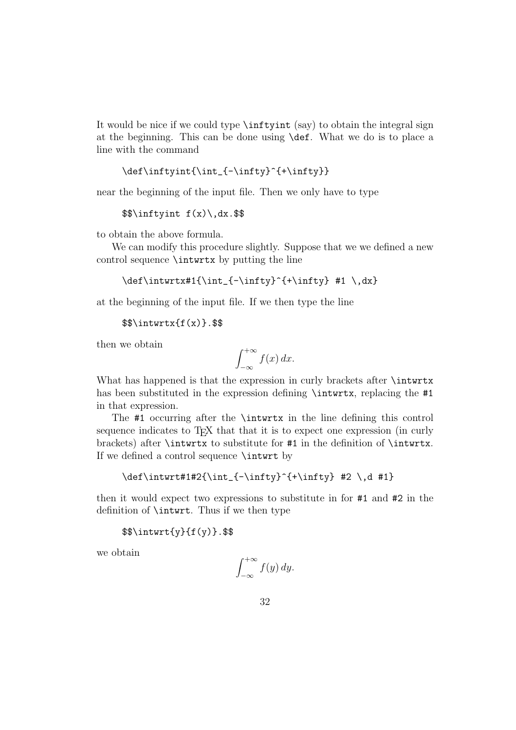It would be nice if we could type \inftyint (say) to obtain the integral sign at the beginning. This can be done using \def. What we do is to place a line with the command

```
\def\inftyint{\int_{-\infty}^{+\infty}}
```
near the beginning of the input file. Then we only have to type

 $\frac{\gamma}{\gamma}$ 

to obtain the above formula.

We can modify this procedure slightly. Suppose that we we defined a new control sequence \intwrtx by putting the line

```
\def\int\left\{\int_{-\infty}^{\infty}^{\+ \infty} #1 \, \, dx\}
```
at the beginning of the input file. If we then type the line

 $\$$ \intwrtx{f(x)}.\$\$

then we obtain

$$
\int_{-\infty}^{+\infty} f(x) \, dx.
$$

What has happened is that the expression in curly brackets after **\intwrtx** has been substituted in the expression defining \intwrtx, replacing the #1 in that expression.

The #1 occurring after the \intwrtx in the line defining this control sequence indicates to T<sub>EX</sub> that that it is to expect one expression (in curly brackets) after \intwrtx to substitute for #1 in the definition of \intwrtx. If we defined a control sequence \intwrt by

\def\intwrt#1#2{\int\_{-\infty}^{+\infty} #2 \,d #1}

then it would expect two expressions to substitute in for #1 and #2 in the definition of \intwrt. Thus if we then type

\$\$\intwrt{y}{f(y)}.\$\$

we obtain

$$
\int_{-\infty}^{+\infty} f(y) \, dy.
$$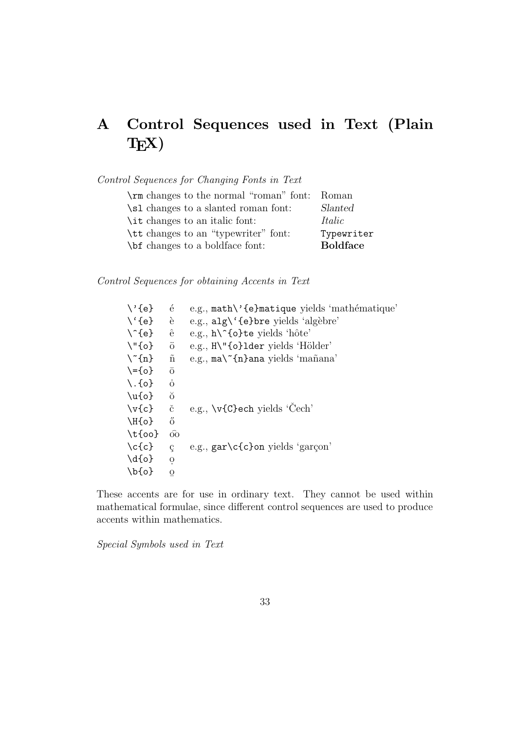# **A Control Sequences used in Text (Plain TEX)**

Control Sequences for Changing Fonts in Text

| \rm changes to the normal "roman" font: Roman |                 |
|-----------------------------------------------|-----------------|
| \sl changes to a slanted roman font:          | Slanted         |
| \ <i>it</i> changes to an italic font:        | Italic          |
| \tt changes to an "typewriter" font:          | Typewriter      |
| \bit changes to a boldface font:              | <b>Boldface</b> |

Control Sequences for obtaining Accents in Text

| $\backslash$ '{e}         | $\acute{\text{e}}$   | e.g., math\'{e}matique yields 'mathématique'                              |
|---------------------------|----------------------|---------------------------------------------------------------------------|
| $\setminus \{e\}$         | è                    | e.g., $alg \' \{e\}$ bre yields 'algèbre'                                 |
| $\setminus$ {e}           | ê                    | e.g., $h \in \{o\}$ te yields 'hôte'                                      |
| $\Upsilon$ "{o}           | $\ddot{\mathrm{o}}$  | e.g., $H\Upsilon$ (o}lder yields 'Hölder'                                 |
| $\langle \hat{n} \rangle$ | $\tilde{\rm n}$      | e.g., $\text{ma}$ <sup><math>\epsilon</math></sup> {n}ana yields 'mañana' |
| $\{-\{o\}$                | $\overline{O}$       |                                                                           |
| $\setminus$ . {o}         | $\dot{\rm o}$        |                                                                           |
| $\u{o}$                   | $\breve{\mathrm{o}}$ |                                                                           |
| $\forall v$               | $\check{\mathbf{c}}$ | e.g., \v{C}ech yields 'Cech'                                              |
| $\H{o}$                   | ő                    |                                                                           |
| $\setminus t$ {00}        | $\hat{OQ}$           |                                                                           |
| $\c{c}$                   | Ç                    | e.g., $gar\c\{c\}$ on yields 'garçon'                                     |
| $\{d\{o\}$                | $\mathbf{O}$         |                                                                           |
| $\bf \delta$              | O                    |                                                                           |
|                           |                      |                                                                           |

These accents are for use in ordinary text. They cannot be used within mathematical formulae, since different control sequences are used to produce accents within mathematics.

Special Symbols used in Text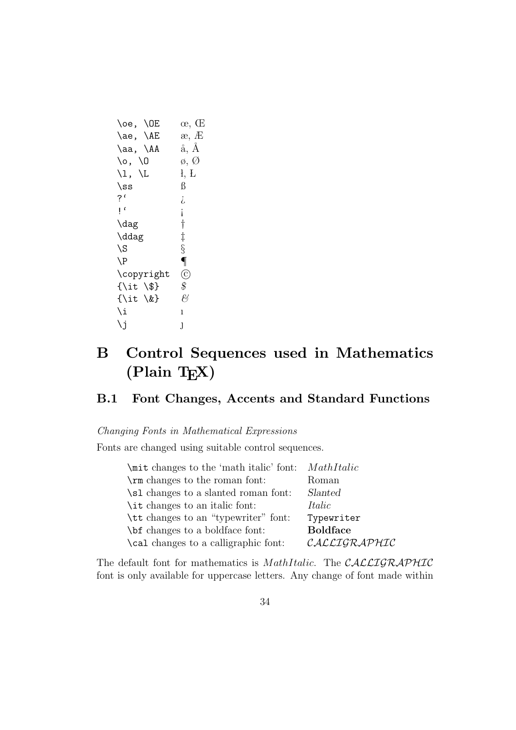```
\lozenge, \lozenge, \lozenge, \mathbb{E} \infty, \mathbb{E}\text{Re}, \text{AE} æ, \text{E}\lambdaaa, \lambdaA \aa, \AA\setminus \circ, \setminus \circ \emptyset, \emptyset\setminus l, L \setminus l, L
\text{ss} \qquad \beta?' \qquad \qquad \iota!^{\prime} \qquad \qquad i\langle \text{dag} \quad |\ddot{} \ddot{}\setminusS §
\P\copyright 
c
{\it \$} $
{\it \&} \&\lambda i \lambda\lambdaj J
```
# **B Control Sequences used in Mathematics (Plain TEX)**

### **B.1 Font Changes, Accents and Standard Functions**

#### Changing Fonts in Mathematical Expressions

Fonts are changed using suitable control sequences.

| \mit changes to the 'math italic' font: <i>MathItalic</i> |                 |
|-----------------------------------------------------------|-----------------|
| \rm changes to the roman font:                            | Roman           |
| \sl changes to a slanted roman font:                      | Slanted         |
| \it changes to an italic font:                            | Italic          |
| \tt changes to an "typewriter" font:                      | Typewriter      |
| <b>\bi</b> changes to a boldface font:                    | <b>Boldface</b> |
| \cal changes to a calligraphic font:                      | CALLIGRAPHIC    |
|                                                           |                 |

The default font for mathematics is *MathItalic*. The CALLIGRAPHIC font is only available for uppercase letters. Any change of font made within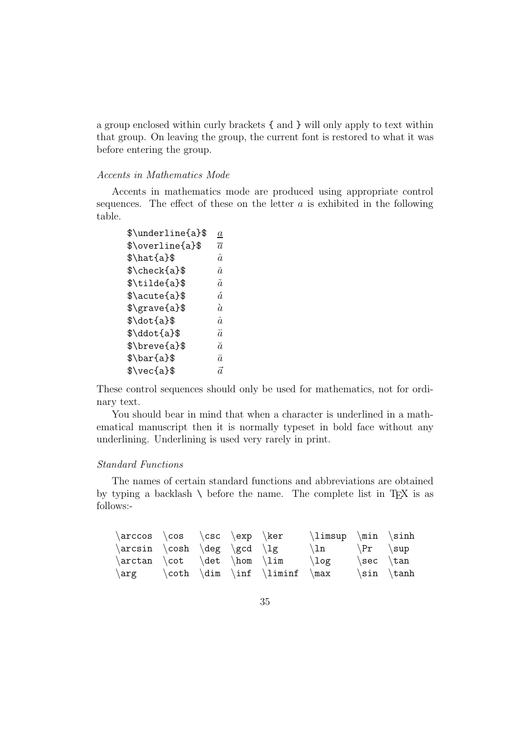a group enclosed within curly brackets { and } will only apply to text within that group. On leaving the group, the current font is restored to what it was before entering the group.

#### Accents in Mathematics Mode

Accents in mathematics mode are produced using appropriate control sequences. The effect of these on the letter  $a$  is exhibited in the following table.

| $\it a$        |
|----------------|
| $\overline{a}$ |
| $\hat{a}$      |
| ň.             |
| $\tilde{a}$    |
| á.             |
| à              |
| $\dot{a}$      |
| $\ddot{a}$     |
| ă              |
| $\bar{a}$      |
| ã              |
|                |

These control sequences should only be used for mathematics, not for ordinary text.

You should bear in mind that when a character is underlined in a mathematical manuscript then it is normally typeset in bold face without any underlining. Underlining is used very rarely in print.

#### Standard Functions

The names of certain standard functions and abbreviations are obtained by typing a backlash  $\setminus$  before the name. The complete list in T<sub>E</sub>X is as follows:-

| $\arccos \cos \csc \exp \ker$ |  |                                   | $\limsup$ \min \sinh        |               |                |
|-------------------------------|--|-----------------------------------|-----------------------------|---------------|----------------|
| $\arcsin \cosh \deg \gcd \lg$ |  |                                   | $\ln \quad \{Pr \ \ \ \sup$ |               |                |
| $\arctan \cot \det \hom \lim$ |  |                                   | $\log$                      | $\sec \ \tan$ |                |
|                               |  | \arg \coth \dim \inf \liminf \max |                             |               | $\sin \ \tanh$ |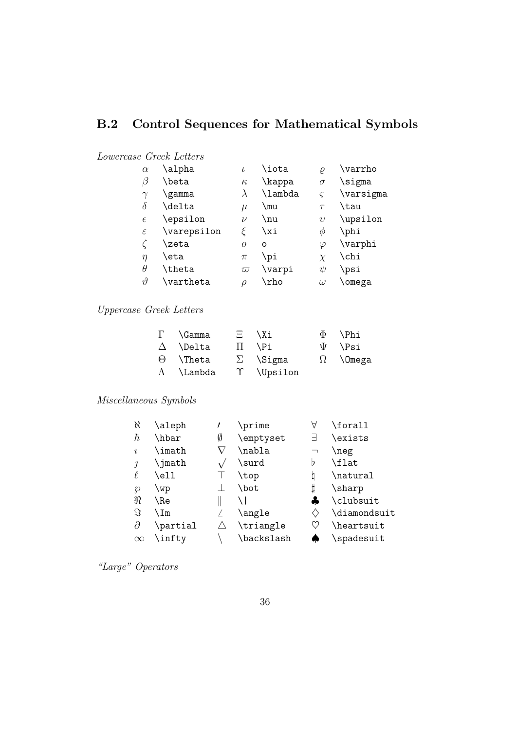### **B.2 Control Sequences for Mathematical Symbols**

#### Lowercase Greek Letters

| $\alpha$      | \alpha      |           | \iota   | $\varrho$   | \varrho   |
|---------------|-------------|-----------|---------|-------------|-----------|
| β             | \beta       | $\kappa$  | \kappa  | $\sigma$    | \sigma    |
| $\gamma$      | \gamma      | $\lambda$ | \lambda | $\varsigma$ | \varsigma |
| δ             | \delta      | $\mu$     | \mu     | $\tau$      | \tau      |
| $\epsilon$    | \epsilon    | $\nu$     | \nu     | $\upsilon$  | \upsilon  |
| $\varepsilon$ | \varepsilon | F         | \xi     | Ф           | \phi      |
|               | \zeta       | $\Omega$  | O       | $\varphi$   | \varphi   |
| $\eta$        | \eta        | $\pi$     | \pi     | $\chi$      | \chi      |
| $\theta$      | \theta      | $\varpi$  | \varpi  | ψ           | \psi      |
| $\vartheta$   | \vartheta   | D         | \rho    | $\omega$    | \omega    |
|               |             |           |         |             |           |

### Uppercase Greek Letters

| $\Gamma$ \Gamma   |              | $\Xi$ \Xi       | $\Phi$ \Phi     |
|-------------------|--------------|-----------------|-----------------|
| $\Delta$ \Delta   | $\mathbf{H}$ | NPi             | $\Psi$ \Psi     |
| $\Theta$ \Theta   |              | $\Sigma$ \Sigma | $\Omega$ \Omega |
| $\Lambda$ \Lambda |              | T \Upsilon      |                 |

### Miscellaneous Symbols

| X          | \aleph   |   | \prime     | А                            | \forall             |
|------------|----------|---|------------|------------------------------|---------------------|
| ħ          | \hbar    | Ø | \emptyset  | Е                            | \exists             |
| $\imath$   | \imath   |   | \nabla     | ⇁                            | \neg                |
| $\jmath$   | \jmath   |   | \surd      | Þ                            | \flat               |
| $\ell$     | \ell     |   | \top       | b                            | \natural            |
| Ю          | \wp      |   | \bot       | ij                           | \sharp              |
| R          | \Re      |   |            |                              | \clubsuit           |
| $\Im$      | ∖Im      |   | \angle     | $\left\langle \right\rangle$ | \diamondsuit        |
| $\partial$ | \partial | Λ | \triangle  |                              | heartsuit           |
| $\infty$   | \infty   |   | \backslash |                              | $\verb \spadesuit"$ |
|            |          |   |            |                              |                     |

"Large" Operators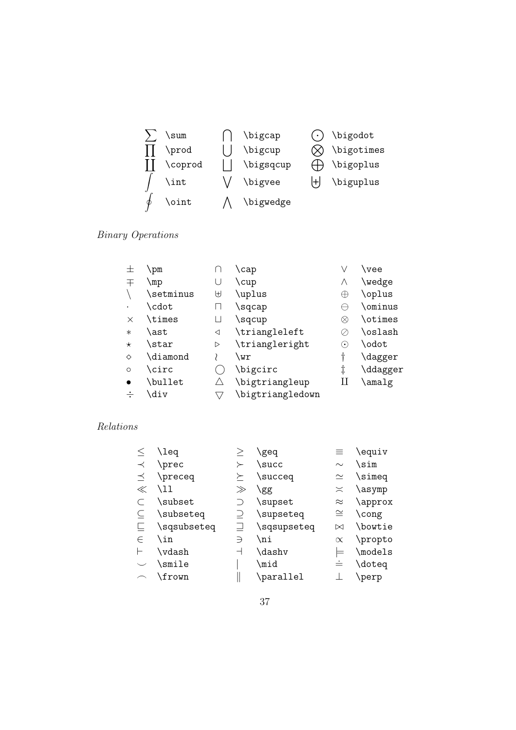|          | \prod   | \bigcup   |    | \bigotimes |
|----------|---------|-----------|----|------------|
|          | \coprod | \bigsqcup |    | \bigoplus  |
|          | \int    | \bigvee   | ŀH | \biguplus  |
|          | \oint   | \bigwedge |    |            |
|          |         |           |    |            |
| $\gamma$ |         |           |    |            |

 $\sum$  \sum  $\bigcap$  \bigcap  $\bigodot$  \bigodot

 $Binary$   $Op$ 

| \vee     |
|----------|
| \wedge   |
| \oplus   |
| \ominus  |
| \otimes  |
| \oslash  |
| \odot    |
| \dagger  |
| \ddagger |
| \amalg   |
|          |
|          |

### Relations

| \leq      |               | geq         | ≡         | \equiv  |
|-----------|---------------|-------------|-----------|---------|
| \prec     |               | \succ       | $\sim$    | \sim    |
| \preceq   | ≻             | \succeq     | $\simeq$  | \simeq  |
| \11       | $\gg$         | \gg         | $\asymp$  | \asymp  |
| \subset   |               | \supset     | $\approx$ | \approx |
| \subseteq |               | \supseteq   | $\cong$   | \cong   |
|           |               | \sqsupseteq | ⊠         | \bowtie |
| \in       | $\Rightarrow$ | \ni         | $\propto$ | \propto |
| \vdash    |               | \dashv      |           | \models |
| \smile    |               | \mid        | $\dot{=}$ | \doteq  |
| \frown    |               | \parallel   |           | \perp   |
|           | \sqsubseteq   |             |           |         |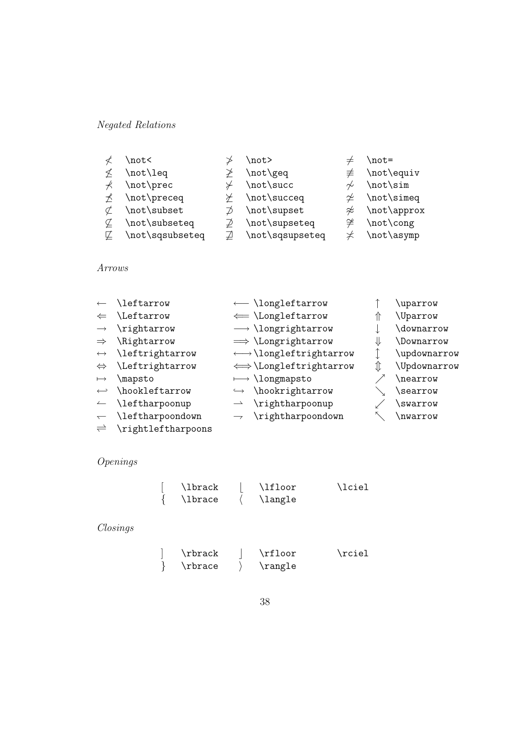### Negated Relations

|                                                                  | \not<           |   | \not>                        |        | \not=                     |
|------------------------------------------------------------------|-----------------|---|------------------------------|--------|---------------------------|
|                                                                  | \not\leq        |   | \not\geq                     |        | $\neq$ \not\equiv         |
|                                                                  | \not\prec       |   | \not\succ                    | $\sim$ | $not\sim$                 |
| $\star$                                                          | \not\preceq     |   | $\angle$ \not\succeq         |        | $\neq \not\text{isimeq}$  |
|                                                                  | \not\subset     |   | $\not\supset$ \not\supset    |        | $\not\approx$ \not\approx |
| ¢                                                                | \not\subseteq   | ₽ | \not\supseteq                |        | $\neq \not\text{cong}$    |
| しんじょう じゅうじょう じゅんじょう じゅんじょう じゅんじょう じゅんじょう じょうかい じょうせいしょう じょうせいしょう | \not\sqsubseteq |   | $\mathbb{Z}$ \not\sqsupseteq |        | $\neq$ \not\asymp         |
|                                                                  |                 |   |                              |        |                           |

#### Arrows

| $\leftarrow$             | \leftarrow                           | $\longleftarrow$ \longleftarrow         |   | \uparrow     |
|--------------------------|--------------------------------------|-----------------------------------------|---|--------------|
| $\Leftarrow$             | Leftarrow                            | $\leftarrow \text{Longleftarrow}$       |   | \Uparrow     |
| $\longrightarrow$        | \rightarrow                          | $\longrightarrow \text{longrightarrow}$ |   | \downarrow   |
| $\Rightarrow$            | \Rightarrow                          | $\implies$ \Longrightarrow              | ⇓ | Downarrow    |
| $\longleftrightarrow$    | <i>leftrightarrow</i>                | $\longleftrightarrow \text{longleft}$   |   | \updownarrow |
| $\Leftrightarrow$        | <i><u><b>\Leftrightarrow</b></u></i> | $\iff$ \Longleftrightarrow              | ⇕ | \Updownarrow |
| $\mapsto$                | \mapsto                              | $\longmapsto$ \longmapsto               |   | \nearrow     |
| $\hookleftarrow$         | \hookleftarrow                       | $\hookrightarrow \text{hookrightarrow}$ |   | \searrow     |
| $\overline{\phantom{a}}$ | \leftharpoonup                       | \rightharpoonup                         |   | \swarrow     |
| $\overline{\phantom{0}}$ | \leftharpoondown                     | $\rightarrow$ \rightharpoondown         |   | \nwarrow     |
| $\rightleftharpoons$     | \rightleftharpoons                   |                                         |   |              |
|                          |                                      |                                         |   |              |

### Openings

| \lbrack | \lfloor        | \lciel |
|---------|----------------|--------|
| \lbrace | <b>\langle</b> |        |

### Closings

| \rbrack       | \rfloor | \rciel |
|---------------|---------|--------|
| $\mathcal{L}$ | \rangle |        |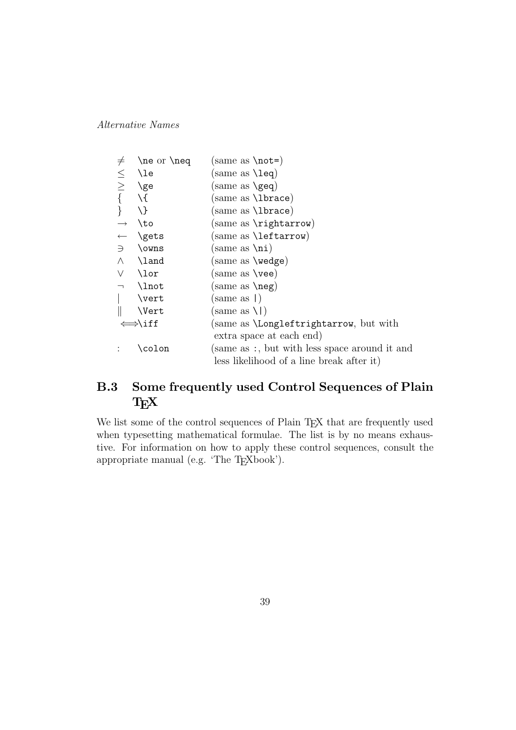Alternative Names

| $\neq$                   | $\neq$ or $\neq$   | (same as $\text{not=}$ )                       |
|--------------------------|--------------------|------------------------------------------------|
|                          | \le                | same as $\leq$ leq)                            |
| $\leq$                   | \ge                | $(same as \qquad)$                             |
|                          | $\setminus$        | (same as <b>\lbrace</b> )                      |
|                          | \}                 | (same as <b>\lbrace</b> )                      |
| $\longrightarrow$        | $\lambda$ to       | $(\text{same as } \rightarrow)$                |
|                          | <b>\gets</b>       | same as <b>\leftarrow</b> )                    |
| $\Rightarrow$            | \owns              | $(same as \n\in)$                              |
| $\wedge$                 | \land              | same as <b>\wedge</b> )                        |
| V                        | \lor               | (same as $\vee$ ee)                            |
| $\overline{\phantom{a}}$ | \lnot              | same as <b>\neg</b> )                          |
|                          | \vert              | $(same as \)$                                  |
|                          | \Vert              | $(same as \1)$                                 |
|                          | $\Rightarrow$ \iff | (same as <b>\Longleftrightarrow</b> , but with |
|                          |                    | extra space at each end)                       |
|                          | \colon             | (same as:, but with less space around it and   |
|                          |                    | less likelihood of a line break after it)      |

### **B.3 Some frequently used Control Sequences of Plain TEX**

We list some of the control sequences of Plain TEX that are frequently used when typesetting mathematical formulae. The list is by no means exhaustive. For information on how to apply these control sequences, consult the appropriate manual (e.g. 'The T<sub>E</sub>Xbook').